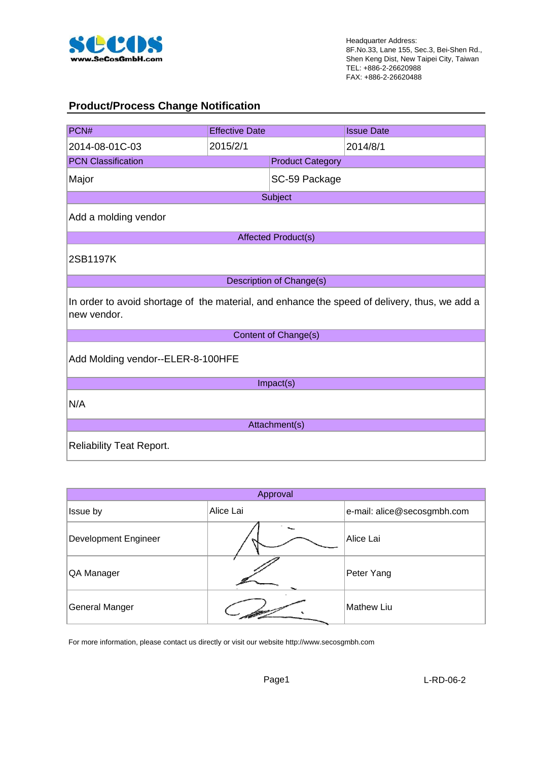

### **Product/Process Change Notification**

| PCN#                                                                                                         | <b>Effective Date</b> |                            | <b>Issue Date</b> |  |  |  |
|--------------------------------------------------------------------------------------------------------------|-----------------------|----------------------------|-------------------|--|--|--|
| 2014-08-01C-03                                                                                               | 2015/2/1              |                            | 2014/8/1          |  |  |  |
| <b>PCN Classification</b>                                                                                    |                       | <b>Product Category</b>    |                   |  |  |  |
| Major                                                                                                        |                       | SC-59 Package              |                   |  |  |  |
|                                                                                                              |                       | Subject                    |                   |  |  |  |
| Add a molding vendor                                                                                         |                       |                            |                   |  |  |  |
|                                                                                                              |                       | <b>Affected Product(s)</b> |                   |  |  |  |
| 2SB1197K                                                                                                     |                       |                            |                   |  |  |  |
|                                                                                                              |                       | Description of Change(s)   |                   |  |  |  |
| In order to avoid shortage of the material, and enhance the speed of delivery, thus, we add a<br>new vendor. |                       |                            |                   |  |  |  |
|                                                                                                              |                       | Content of Change(s)       |                   |  |  |  |
| Add Molding vendor--ELER-8-100HFE                                                                            |                       |                            |                   |  |  |  |
|                                                                                                              |                       | Impact(s)                  |                   |  |  |  |
| N/A                                                                                                          |                       |                            |                   |  |  |  |
| Attachment(s)                                                                                                |                       |                            |                   |  |  |  |
| <b>Reliability Teat Report.</b>                                                                              |                       |                            |                   |  |  |  |

| Approval                    |           |                             |  |  |  |  |  |
|-----------------------------|-----------|-----------------------------|--|--|--|--|--|
| Issue by                    | Alice Lai | e-mail: alice@secosgmbh.com |  |  |  |  |  |
| <b>Development Engineer</b> |           | Alice Lai                   |  |  |  |  |  |
| QA Manager                  |           | Peter Yang                  |  |  |  |  |  |
| General Manger              |           | <b>Mathew Liu</b>           |  |  |  |  |  |

For more information, please contact us directly or visit our website http://www.secosgmbh.com

Page1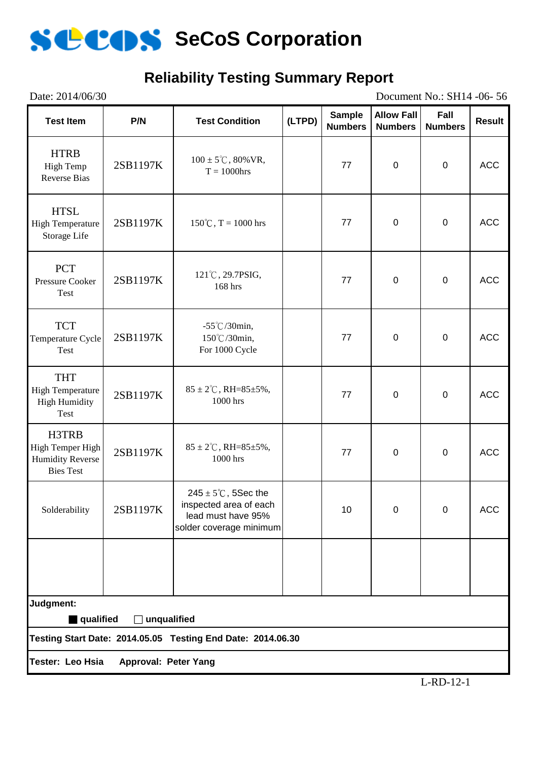

## **Reliability Testing Summary Report**

Date: 2014/06/30 Document No.: SH14 -06- 56 **Test Item P/N Test Condition (LTPD) Sample Numbers Allow Fall Numbers Fall Numbers Result** HTRB High Temp Reverse Bias 2SB1197K  $100 \pm 5^{\circ}$ C, 80%VR,<br>T = 1000hrs  $T = 1000 \text{hrs}$  77 0 0 ACC HTSL High Temperature Storage Life  $2SB1197K$  150℃, T = 1000 hrs 77 0 0 0 ACC **PCT** Pressure Cooker Test  $2SB1197K$   $121°C, 29.7PSIG, 168 hrs$  $168 \text{ hrs}$ , 168 hrs 168 hrs 168 hrs 168 hrs 168 hrs 168 hrs 168 hrs 168 hrs 168 hrs 168 hrs 168 hrs 168 hrs 168 hrs 168 hrs 168 hrs 168 hrs 168 hrs 168 hrs 168 hrs 168 hrs 168 hrs 168 hrs 168 hrs 168 hrs 168 hrs 168 hrs 1 **TCT** Temperature Cycle Test 2SB1197K -55℃/30min, 150℃/30min, For 1000 Cycle 77 | 0 | 0 | ACC THT High Temperature High Humidity Test 2SB1197K 85 ± 2°C, RH=85±5%,  $1000 \text{ hrs}$  1000 hrs 1000 hrs 1000 hrs 1000 hrs 200 m H3TRB High Temper High Humidity Reverse Bies Test 2SB1197K  $85 \pm 2^{\circ}$ C, RH=85±5%,<br>1000 hrs  $1000 \text{ hrs}$  1000 hrs 1000 hrs 1000 hrs 1000 hrs 200 m Solderability 2SB1197K  $245 \pm 5^{\circ}$ C, 5Sec the inspected area of each lead must have 95% solder coverage minimum 10 0 0 ACC **Testing Start Date: 2014.05.05 Testing End Date: 2014.06.30 Tester: Leo Hsia Approval: Peter Yang Judgment:** ■ qualified □ unqualified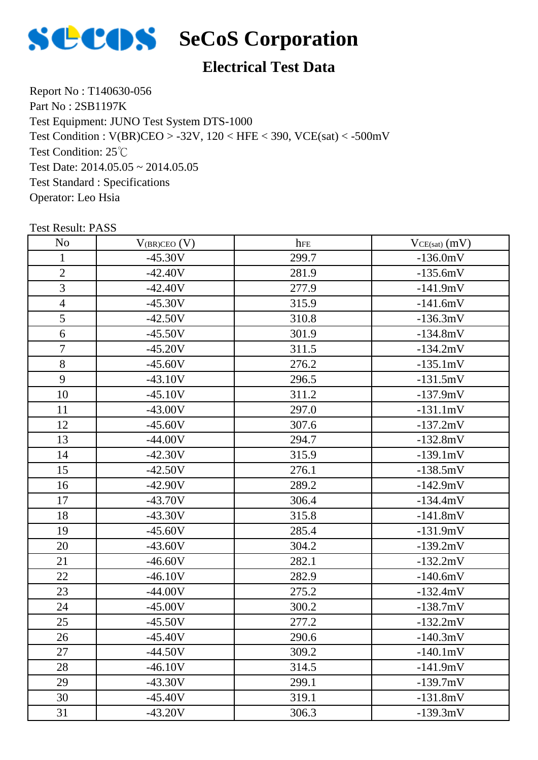

## **Electrical Test Data**

Report No : T140630-056 Part No : 2SB1197K Test Equipment: JUNO Test System DTS-1000 Test Condition: 25℃ Test Date: 2014.05.05 ~ 2014.05.05 Test Standard : Specifications Operator: Leo Hsia Test Condition : V(BR)CEO > -32V, 120 < HFE < 390, VCE(sat) < -500mV

| N <sub>o</sub> | $V_{(BR)CEO} (V)$ | hFE   | $VCE(sat)$ $(mV)$ |
|----------------|-------------------|-------|-------------------|
| $\mathbf{1}$   | $-45.30V$         | 299.7 | $-136.0mV$        |
| $\overline{2}$ | $-42.40V$         | 281.9 | $-135.6mV$        |
| 3              | $-42.40V$         | 277.9 | $-141.9mV$        |
| $\overline{4}$ | $-45.30V$         | 315.9 | $-141.6mV$        |
| 5              | $-42.50V$         | 310.8 | $-136.3mV$        |
| 6              | $-45.50V$         | 301.9 | $-134.8mV$        |
| $\overline{7}$ | $-45.20V$         | 311.5 | $-134.2mV$        |
| 8              | $-45.60V$         | 276.2 | $-135.1mV$        |
| 9              | $-43.10V$         | 296.5 | $-131.5mV$        |
| 10             | $-45.10V$         | 311.2 | $-137.9mV$        |
| 11             | $-43.00V$         | 297.0 | $-131.1mV$        |
| 12             | $-45.60V$         | 307.6 | $-137.2mV$        |
| 13             | $-44.00V$         | 294.7 | $-132.8mV$        |
| 14             | $-42.30V$         | 315.9 | $-139.1mV$        |
| 15             | $-42.50V$         | 276.1 | $-138.5mV$        |
| 16             | $-42.90V$         | 289.2 | $-142.9mV$        |
| 17             | $-43.70V$         | 306.4 | $-134.4mV$        |
| 18             | $-43.30V$         | 315.8 | $-141.8mV$        |
| 19             | $-45.60V$         | 285.4 | $-131.9mV$        |
| 20             | $-43.60V$         | 304.2 | $-139.2mV$        |
| 21             | $-46.60V$         | 282.1 | $-132.2mV$        |
| 22             | $-46.10V$         | 282.9 | $-140.6mV$        |
| 23             | $-44.00V$         | 275.2 | $-132.4mV$        |
| 24             | $-45.00V$         | 300.2 | $-138.7mV$        |
| 25             | $-45.50V$         | 277.2 | $-132.2mV$        |
| 26             | -45.40V           | 290.6 | $-140.3mV$        |
| 27             | $-44.50V$         | 309.2 | $-140.1mV$        |
| 28             | $-46.10V$         | 314.5 | $-141.9mV$        |
| 29             | $-43.30V$         | 299.1 | $-139.7mV$        |
| 30             | $-45.40V$         | 319.1 | $-131.8mV$        |
| 31             | $-43.20V$         | 306.3 | $-139.3mV$        |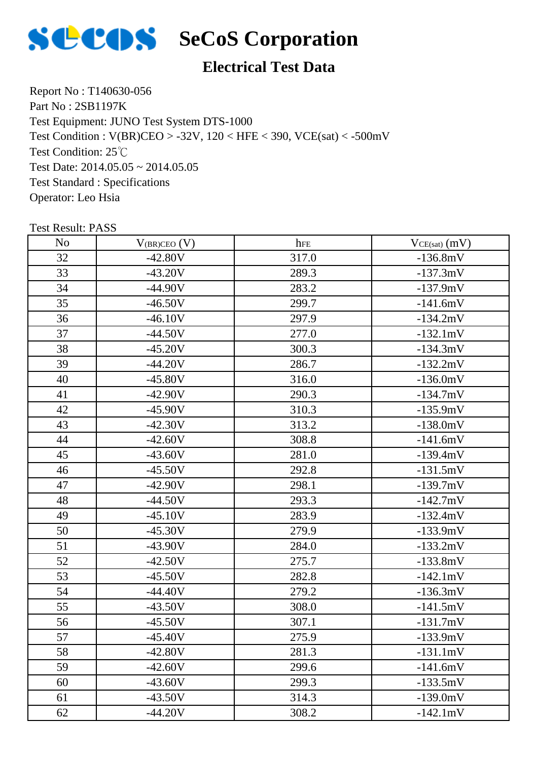

## **Electrical Test Data**

Report No : T140630-056 Part No : 2SB1197K Test Equipment: JUNO Test System DTS-1000 Test Condition: 25℃ Test Date: 2014.05.05 ~ 2014.05.05 Test Standard : Specifications Operator: Leo Hsia Test Condition : V(BR)CEO > -32V, 120 < HFE < 390, VCE(sat) < -500mV

| N <sub>o</sub> | $V_{(BR)CEO} (V)$ | hFE   | $VCE(sat)$ $(mV)$ |
|----------------|-------------------|-------|-------------------|
| 32             | $-42.80V$         | 317.0 | $-136.8mV$        |
| 33             | $-43.20V$         | 289.3 | $-137.3mV$        |
| 34             | $-44.90V$         | 283.2 | $-137.9mV$        |
| 35             | $-46.50V$         | 299.7 | $-141.6mV$        |
| 36             | $-46.10V$         | 297.9 | $-134.2mV$        |
| 37             | $-44.50V$         | 277.0 | $-132.1mV$        |
| 38             | $-45.20V$         | 300.3 | $-134.3mV$        |
| 39             | $-44.20V$         | 286.7 | $-132.2mV$        |
| 40             | $-45.80V$         | 316.0 | $-136.0mV$        |
| 41             | $-42.90V$         | 290.3 | $-134.7mV$        |
| 42             | $-45.90V$         | 310.3 | $-135.9mV$        |
| 43             | $-42.30V$         | 313.2 | $-138.0mV$        |
| 44             | $-42.60V$         | 308.8 | $-141.6mV$        |
| 45             | $-43.60V$         | 281.0 | $-139.4mV$        |
| 46             | $-45.50V$         | 292.8 | $-131.5mV$        |
| 47             | $-42.90V$         | 298.1 | $-139.7mV$        |
| 48             | $-44.50V$         | 293.3 | $-142.7mV$        |
| 49             | $-45.10V$         | 283.9 | $-132.4mV$        |
| 50             | $-45.30V$         | 279.9 | $-133.9mV$        |
| 51             | $-43.90V$         | 284.0 | $-133.2mV$        |
| 52             | $-42.50V$         | 275.7 | $-133.8mV$        |
| 53             | $-45.50V$         | 282.8 | $-142.1mV$        |
| 54             | $-44.40V$         | 279.2 | $-136.3mV$        |
| 55             | $-43.50V$         | 308.0 | $-141.5mV$        |
| 56             | $-45.50V$         | 307.1 | $-131.7mV$        |
| 57             | $-45.40V$         | 275.9 | $-133.9mV$        |
| 58             | $-42.80V$         | 281.3 | $-131.1mV$        |
| 59             | $-42.60V$         | 299.6 | $-141.6mV$        |
| 60             | $-43.60V$         | 299.3 | $-133.5mV$        |
| 61             | $-43.50V$         | 314.3 | $-139.0mV$        |
| 62             | $-44.20V$         | 308.2 | $-142.1mV$        |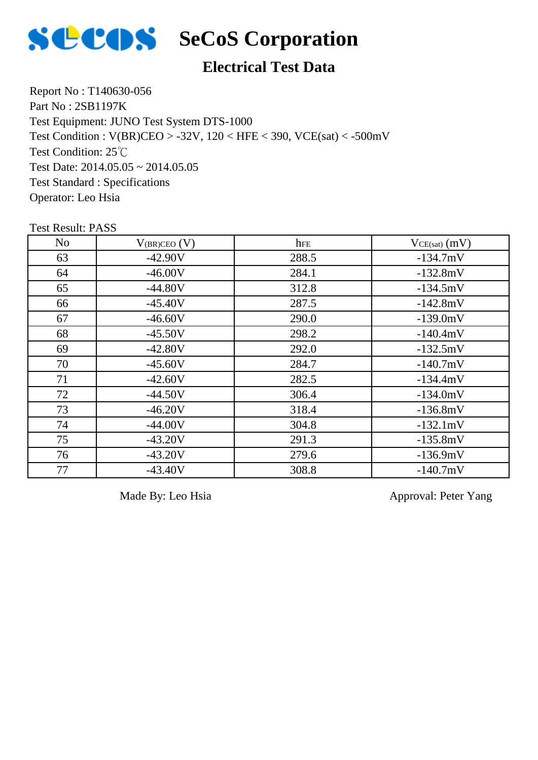

## **Electrical Test Data**

Report No : T140630-056 Part No : 2SB1197K Test Equipment: JUNO Test System DTS-1000 Test Condition: 25℃ Test Date:  $2014.05.05 \approx 2014.05.05$ Test Standard : Specifications Operator: Leo Hsia Test Condition : V(BR)CEO > -32V, 120 < HFE < 390, VCE(sat) < -500mV

Test Result: PASS

| N <sub>o</sub> | $V_{(BR)CEO} (V)$ | hFE   | $VCE(sat)$ (mV) |
|----------------|-------------------|-------|-----------------|
| 63             | $-42.90V$         | 288.5 | $-134.7mV$      |
| 64             | $-46.00V$         | 284.1 | $-132.8mV$      |
| 65             | $-44.80V$         | 312.8 | $-134.5mV$      |
| 66             | $-45.40V$         | 287.5 | $-142.8mV$      |
| 67             | $-46.60V$         | 290.0 | $-139.0mV$      |
| 68             | $-45.50V$         | 298.2 | $-140.4mV$      |
| 69             | $-42.80V$         | 292.0 | $-132.5mV$      |
| 70             | $-45.60V$         | 284.7 | $-140.7mV$      |
| 71             | $-42.60V$         | 282.5 | $-134.4mV$      |
| 72             | $-44.50V$         | 306.4 | $-134.0mV$      |
| 73             | $-46.20V$         | 318.4 | $-136.8mV$      |
| 74             | $-44.00V$         | 304.8 | $-132.1mV$      |
| 75             | $-43.20V$         | 291.3 | $-135.8mV$      |
| 76             | $-43.20V$         | 279.6 | $-136.9mV$      |
| 77             | $-43.40V$         | 308.8 | $-140.7mV$      |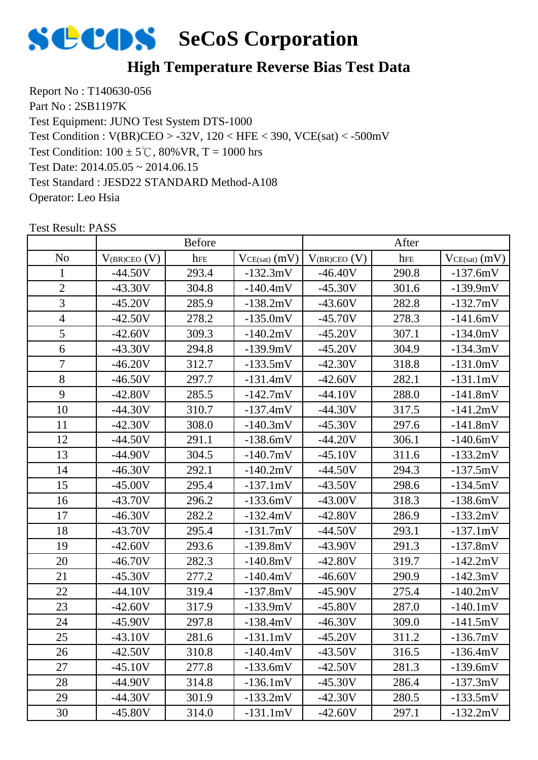

## **High Temperature Reverse Bias Test Data**

Report No : T140630-056 Part No : 2SB1197K Test Equipment: JUNO Test System DTS-1000 Test Condition:  $100 \pm 5^{\circ}$ C,  $80\%$  VR, T = 1000 hrs Test Date: 2014.05.05 ~ 2014.06.15 Test Standard : JESD22 STANDARD Method-A108 Operator: Leo Hsia Test Condition : V(BR)CEO > -32V, 120 < HFE < 390, VCE(sat) < -500mV

|                |                   | <b>Before</b> |                   |                     | After |                   |
|----------------|-------------------|---------------|-------------------|---------------------|-------|-------------------|
| N <sub>o</sub> | $V_{(BR)CEO} (V)$ | hFE           | $VCE(sat)$ $(mV)$ | $V_{(BR)CEO}$ $(V)$ | hFE   | $VCE(sat)$ $(mV)$ |
| $\mathbf{1}$   | $-44.50V$         | 293.4         | $-132.3mV$        | $-46.40V$           | 290.8 | $-137.6mV$        |
| $\overline{2}$ | $-43.30V$         | 304.8         | $-140.4mV$        | $-45.30V$           | 301.6 | $-139.9mV$        |
| $\overline{3}$ | $-45.20V$         | 285.9         | $-138.2mV$        | $-43.60V$           | 282.8 | $-132.7mV$        |
| $\overline{4}$ | $-42.50V$         | 278.2         | $-135.0mV$        | $-45.70V$           | 278.3 | $-141.6mV$        |
| 5              | $-42.60V$         | 309.3         | $-140.2mV$        | $-45.20V$           | 307.1 | $-134.0mV$        |
| 6              | $-43.30V$         | 294.8         | $-139.9mV$        | $-45.20V$           | 304.9 | $-134.3mV$        |
| $\overline{7}$ | $-46.20V$         | 312.7         | $-133.5mV$        | $-42.30V$           | 318.8 | $-131.0mV$        |
| 8              | $-46.50V$         | 297.7         | $-131.4mV$        | $-42.60V$           | 282.1 | $-131.1mV$        |
| 9              | $-42.80V$         | 285.5         | $-142.7mV$        | $-44.10V$           | 288.0 | $-141.8mV$        |
| 10             | $-44.30V$         | 310.7         | $-137.4mV$        | $-44.30V$           | 317.5 | $-141.2mV$        |
| 11             | $-42.30V$         | 308.0         | $-140.3mV$        | $-45.30V$           | 297.6 | $-141.8mV$        |
| 12             | $-44.50V$         | 291.1         | $-138.6mV$        | $-44.20V$           | 306.1 | $-140.6mV$        |
| 13             | $-44.90V$         | 304.5         | $-140.7mV$        | $-45.10V$           | 311.6 | $-133.2mV$        |
| 14             | $-46.30V$         | 292.1         | $-140.2mV$        | $-44.50V$           | 294.3 | $-137.5mV$        |
| 15             | $-45.00V$         | 295.4         | $-137.1mV$        | $-43.50V$           | 298.6 | $-134.5mV$        |
| 16             | $-43.70V$         | 296.2         | $-133.6mV$        | $-43.00V$           | 318.3 | $-138.6mV$        |
| 17             | $-46.30V$         | 282.2         | $-132.4mV$        | $-42.80V$           | 286.9 | $-133.2mV$        |
| 18             | $-43.70V$         | 295.4         | $-131.7mV$        | $-44.50V$           | 293.1 | $-137.1mV$        |
| 19             | $-42.60V$         | 293.6         | $-139.8mV$        | $-43.90V$           | 291.3 | $-137.8mV$        |
| 20             | $-46.70V$         | 282.3         | $-140.8mV$        | $-42.80V$           | 319.7 | $-142.2mV$        |
| 21             | $-45.30V$         | 277.2         | $-140.4mV$        | $-46.60V$           | 290.9 | $-142.3mV$        |
| 22             | $-44.10V$         | 319.4         | $-137.8mV$        | $-45.90V$           | 275.4 | $-140.2mV$        |
| 23             | $-42.60V$         | 317.9         | $-133.9mV$        | $-45.80V$           | 287.0 | $-140.1mV$        |
| 24             | $-45.90V$         | 297.8         | $-138.4mV$        | $-46.30V$           | 309.0 | $-141.5mV$        |
| 25             | $-43.10V$         | 281.6         | $-131.1mV$        | $-45.20V$           | 311.2 | $-136.7mV$        |
| 26             | $-42.50V$         | 310.8         | $-140.4mV$        | $-43.50V$           | 316.5 | $-136.4mV$        |
| 27             | $-45.10V$         | 277.8         | $-133.6mV$        | $-42.50V$           | 281.3 | $-139.6mV$        |
| 28             | $-44.90V$         | 314.8         | $-136.1mV$        | $-45.30V$           | 286.4 | $-137.3mV$        |
| 29             | $-44.30V$         | 301.9         | $-133.2mV$        | $-42.30V$           | 280.5 | $-133.5mV$        |
| 30             | $-45.80V$         | 314.0         | $-131.1mV$        | $-42.60V$           | 297.1 | $-132.2mV$        |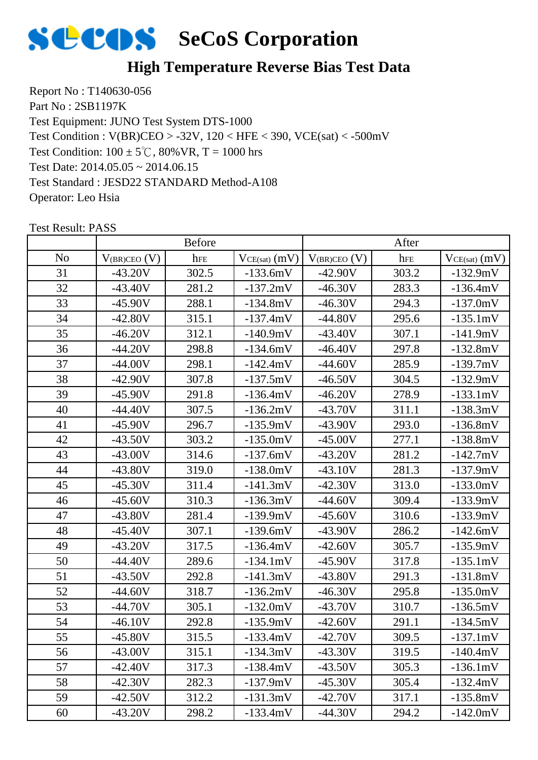

## **High Temperature Reverse Bias Test Data**

Report No : T140630-056 Part No : 2SB1197K Test Equipment: JUNO Test System DTS-1000 Test Condition:  $100 \pm 5^{\circ}$ C,  $80\%$  VR, T = 1000 hrs Test Date: 2014.05.05 ~ 2014.06.15 Test Standard : JESD22 STANDARD Method-A108 Operator: Leo Hsia Test Condition : V(BR)CEO > -32V, 120 < HFE < 390, VCE(sat) < -500mV

|                |                   | <b>Before</b> |                   |                     | After |                   |
|----------------|-------------------|---------------|-------------------|---------------------|-------|-------------------|
| N <sub>o</sub> | $V_{(BR)CEO} (V)$ | hFE           | $VCE(sat)$ $(mV)$ | $V_{(BR)CEO}$ $(V)$ | hFE   | $VCE(sat)$ $(mV)$ |
| 31             | $-43.20V$         | 302.5         | $-133.6mV$        | $-42.90V$           | 303.2 | $-132.9mV$        |
| 32             | $-43.40V$         | 281.2         | $-137.2mV$        | $-46.30V$           | 283.3 | $-136.4mV$        |
| 33             | $-45.90V$         | 288.1         | $-134.8mV$        | $-46.30V$           | 294.3 | $-137.0mV$        |
| 34             | $-42.80V$         | 315.1         | $-137.4mV$        | $-44.80V$           | 295.6 | $-135.1mV$        |
| 35             | $-46.20V$         | 312.1         | $-140.9mV$        | $-43.40V$           | 307.1 | $-141.9mV$        |
| 36             | $-44.20V$         | 298.8         | $-134.6mV$        | $-46.40V$           | 297.8 | $-132.8mV$        |
| 37             | $-44.00V$         | 298.1         | $-142.4mV$        | $-44.60V$           | 285.9 | $-139.7mV$        |
| 38             | $-42.90V$         | 307.8         | $-137.5mV$        | $-46.50V$           | 304.5 | $-132.9mV$        |
| 39             | $-45.90V$         | 291.8         | $-136.4mV$        | $-46.20V$           | 278.9 | $-133.1mV$        |
| 40             | $-44.40V$         | 307.5         | $-136.2mV$        | $-43.70V$           | 311.1 | $-138.3mV$        |
| 41             | $-45.90V$         | 296.7         | $-135.9mV$        | $-43.90V$           | 293.0 | $-136.8mV$        |
| 42             | $-43.50V$         | 303.2         | $-135.0mV$        | $-45.00V$           | 277.1 | $-138.8mV$        |
| 43             | $-43.00V$         | 314.6         | $-137.6mV$        | $-43.20V$           | 281.2 | $-142.7mV$        |
| 44             | $-43.80V$         | 319.0         | $-138.0mV$        | $-43.10V$           | 281.3 | $-137.9mV$        |
| 45             | $-45.30V$         | 311.4         | $-141.3mV$        | $-42.30V$           | 313.0 | $-133.0mV$        |
| 46             | $-45.60V$         | 310.3         | $-136.3mV$        | $-44.60V$           | 309.4 | $-133.9mV$        |
| 47             | $-43.80V$         | 281.4         | $-139.9mV$        | $-45.60V$           | 310.6 | $-133.9mV$        |
| 48             | $-45.40V$         | 307.1         | $-139.6mV$        | $-43.90V$           | 286.2 | $-142.6mV$        |
| 49             | $-43.20V$         | 317.5         | $-136.4mV$        | $-42.60V$           | 305.7 | $-135.9mV$        |
| 50             | $-44.40V$         | 289.6         | $-134.1mV$        | $-45.90V$           | 317.8 | $-135.1mV$        |
| 51             | $-43.50V$         | 292.8         | $-141.3mV$        | $-43.80V$           | 291.3 | $-131.8mV$        |
| 52             | $-44.60V$         | 318.7         | $-136.2mV$        | $-46.30V$           | 295.8 | $-135.0mV$        |
| 53             | $-44.70V$         | 305.1         | $-132.0mV$        | $-43.70V$           | 310.7 | $-136.5mV$        |
| 54             | $-46.10V$         | 292.8         | $-135.9mV$        | $-42.60V$           | 291.1 | $-134.5mV$        |
| 55             | $-45.80V$         | 315.5         | $-133.4mV$        | $-42.70V$           | 309.5 | $-137.1mV$        |
| 56             | $-43.00V$         | 315.1         | $-134.3mV$        | $-43.30V$           | 319.5 | $-140.4mV$        |
| 57             | $-42.40V$         | 317.3         | $-138.4mV$        | $-43.50V$           | 305.3 | $-136.1mV$        |
| 58             | $-42.30V$         | 282.3         | $-137.9mV$        | $-45.30V$           | 305.4 | $-132.4mV$        |
| 59             | $-42.50V$         | 312.2         | $-131.3mV$        | $-42.70V$           | 317.1 | $-135.8mV$        |
| 60             | $-43.20V$         | 298.2         | $-133.4mV$        | $-44.30V$           | 294.2 | $-142.0mV$        |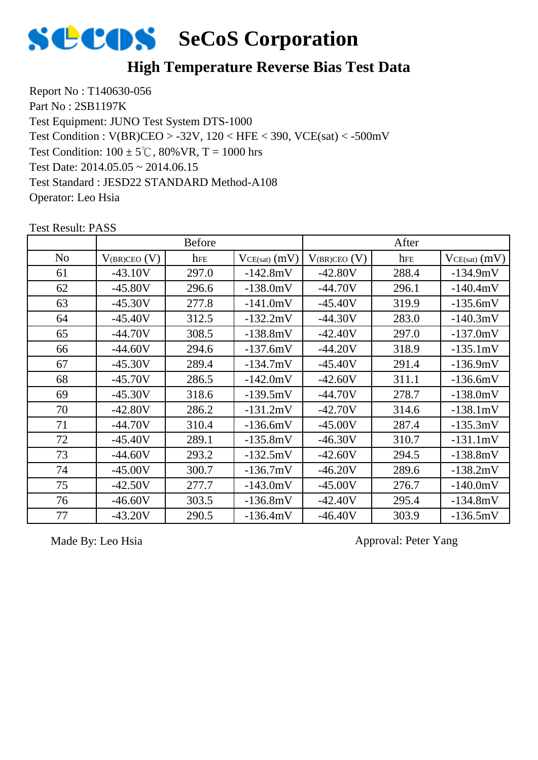

## **High Temperature Reverse Bias Test Data**

Report No : T140630-056 Part No : 2SB1197K Test Equipment: JUNO Test System DTS-1000 Test Condition:  $100 \pm 5^{\circ}$ C,  $80\%$  VR, T = 1000 hrs Test Date: 2014.05.05 ~ 2014.06.15 Test Standard : JESD22 STANDARD Method-A108 Operator: Leo Hsia Test Condition : V(BR)CEO > -32V, 120 < HFE < 390, VCE(sat) < -500mV

 $\begin{array}{c|c|c|c|c} \hline \text{No} & \text{V}_{\text{(BR)CEO (V)}} & \text{here} & \text{V}_{\text{CE(sat)} (mV)} & \text{V}_{\text{(BR)CEO (V)}} & \text{here} & \text{V}_{\text{CE(sat)} (mV)} \hline \end{array}$ Before After 61 -43.10V 297.0 -142.8mV -42.80V 288.4 -134.9mV 62 | -45.80V | 296.6 | -138.0mV | -44.70V | 296.1 | -140.4mV 63 | -45.30V | 277.8 | -141.0mV | -45.40V | 319.9 | -135.6mV 64 | -45.40V | 312.5 | -132.2mV | -44.30V | 283.0 | -140.3mV 65 -44.70V 308.5 -138.8mV -42.40V 297.0 -137.0mV 66 | -44.60V | 294.6 | -137.6mV | -44.20V | 318.9 | -135.1mV 67 | -45.30V | 289.4 | -134.7mV | -45.40V | 291.4 | -136.9mV 68 | -45.70V | 286.5 | -142.0mV | -42.60V | 311.1 | -136.6mV 69 | -45.30V | 318.6 | -139.5mV | -44.70V | 278.7 | -138.0mV 70 | -42.80V | 286.2 | -131.2mV | -42.70V | 314.6 | -138.1mV 71 | -44.70V | 310.4 | -136.6mV | -45.00V | 287.4 | -135.3mV 72 | -45.40V | 289.1 | -135.8mV | -46.30V | 310.7 | -131.1mV 73 | -44.60V | 293.2 | -132.5mV | -42.60V | 294.5 | -138.8mV 74 | -45.00V | 300.7 | -136.7mV | -46.20V | 289.6 | -138.2mV 75 | -42.50V | 277.7 | -143.0mV | -45.00V | 276.7 | -140.0mV 76 | -46.60V | 303.5 | -136.8mV | -42.40V | 295.4 | -134.8mV 77 | -43.20V | 290.5 | -136.4mV | -46.40V | 303.9 | -136.5mV

Test Result: PASS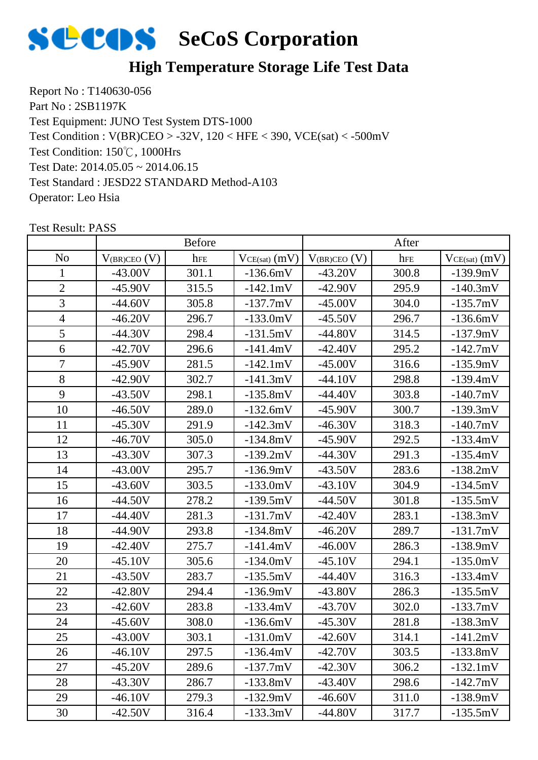

## **High Temperature Storage Life Test Data**

Report No : T140630-056 Part No : 2SB1197K Test Equipment: JUNO Test System DTS-1000 Test Condition: 150℃, 1000Hrs Test Date: 2014.05.05 ~ 2014.06.15 Test Standard : JESD22 STANDARD Method-A103 Operator: Leo Hsia Test Condition : V(BR)CEO > -32V, 120 < HFE < 390, VCE(sat) < -500mV

|                |                   | <b>Before</b> |                 |                     | After |                   |
|----------------|-------------------|---------------|-----------------|---------------------|-------|-------------------|
| N <sub>0</sub> | $V_{(BR)CEO} (V)$ | hFE           | $VCE(sat)$ (mV) | $V_{(BR)CEO}$ $(V)$ | hFE   | $VCE(sat)$ $(mV)$ |
| 1              | $-43.00V$         | 301.1         | $-136.6mV$      | $-43.20V$           | 300.8 | $-139.9mV$        |
| $\mathbf{2}$   | $-45.90V$         | 315.5         | $-142.1mV$      | $-42.90V$           | 295.9 | $-140.3mV$        |
| 3              | $-44.60V$         | 305.8         | $-137.7mV$      | $-45.00V$           | 304.0 | $-135.7mV$        |
| $\overline{4}$ | $-46.20V$         | 296.7         | $-133.0mV$      | $-45.50V$           | 296.7 | $-136.6mV$        |
| 5              | $-44.30V$         | 298.4         | $-131.5mV$      | $-44.80V$           | 314.5 | $-137.9mV$        |
| 6              | $-42.70V$         | 296.6         | $-141.4mV$      | $-42.40V$           | 295.2 | $-142.7mV$        |
| $\overline{7}$ | $-45.90V$         | 281.5         | $-142.1mV$      | $-45.00V$           | 316.6 | $-135.9mV$        |
| 8              | $-42.90V$         | 302.7         | $-141.3mV$      | $-44.10V$           | 298.8 | $-139.4mV$        |
| 9              | $-43.50V$         | 298.1         | $-135.8mV$      | $-44.40V$           | 303.8 | $-140.7mV$        |
| 10             | $-46.50V$         | 289.0         | $-132.6mV$      | $-45.90V$           | 300.7 | $-139.3mV$        |
| 11             | $-45.30V$         | 291.9         | $-142.3mV$      | $-46.30V$           | 318.3 | $-140.7mV$        |
| 12             | $-46.70V$         | 305.0         | $-134.8mV$      | $-45.90V$           | 292.5 | $-133.4mV$        |
| 13             | $-43.30V$         | 307.3         | $-139.2mV$      | $-44.30V$           | 291.3 | $-135.4mV$        |
| 14             | $-43.00V$         | 295.7         | $-136.9mV$      | $-43.50V$           | 283.6 | $-138.2mV$        |
| 15             | $-43.60V$         | 303.5         | $-133.0mV$      | $-43.10V$           | 304.9 | $-134.5mV$        |
| 16             | $-44.50V$         | 278.2         | $-139.5mV$      | $-44.50V$           | 301.8 | $-135.5mV$        |
| 17             | $-44.40V$         | 281.3         | $-131.7mV$      | $-42.40V$           | 283.1 | $-138.3mV$        |
| 18             | $-44.90V$         | 293.8         | $-134.8mV$      | $-46.20V$           | 289.7 | $-131.7mV$        |
| 19             | $-42.40V$         | 275.7         | $-141.4mV$      | $-46.00V$           | 286.3 | $-138.9mV$        |
| 20             | $-45.10V$         | 305.6         | $-134.0mV$      | $-45.10V$           | 294.1 | $-135.0mV$        |
| 21             | $-43.50V$         | 283.7         | $-135.5mV$      | $-44.40V$           | 316.3 | $-133.4mV$        |
| 22             | $-42.80V$         | 294.4         | $-136.9mV$      | $-43.80V$           | 286.3 | $-135.5mV$        |
| 23             | $-42.60V$         | 283.8         | $-133.4mV$      | $-43.70V$           | 302.0 | $-133.7mV$        |
| 24             | $-45.60V$         | 308.0         | $-136.6mV$      | $-45.30V$           | 281.8 | $-138.3mV$        |
| 25             | $-43.00V$         | 303.1         | $-131.0mV$      | -42.60V             | 314.1 | $-141.2mV$        |
| 26             | $-46.10V$         | 297.5         | $-136.4mV$      | $-42.70V$           | 303.5 | $-133.8mV$        |
| 27             | $-45.20V$         | 289.6         | $-137.7mV$      | $-42.30V$           | 306.2 | $-132.1mV$        |
| 28             | $-43.30V$         | 286.7         | $-133.8mV$      | $-43.40V$           | 298.6 | $-142.7mV$        |
| 29             | $-46.10V$         | 279.3         | $-132.9mV$      | $-46.60V$           | 311.0 | $-138.9mV$        |
| 30             | $-42.50V$         | 316.4         | $-133.3mV$      | $-44.80V$           | 317.7 | $-135.5mV$        |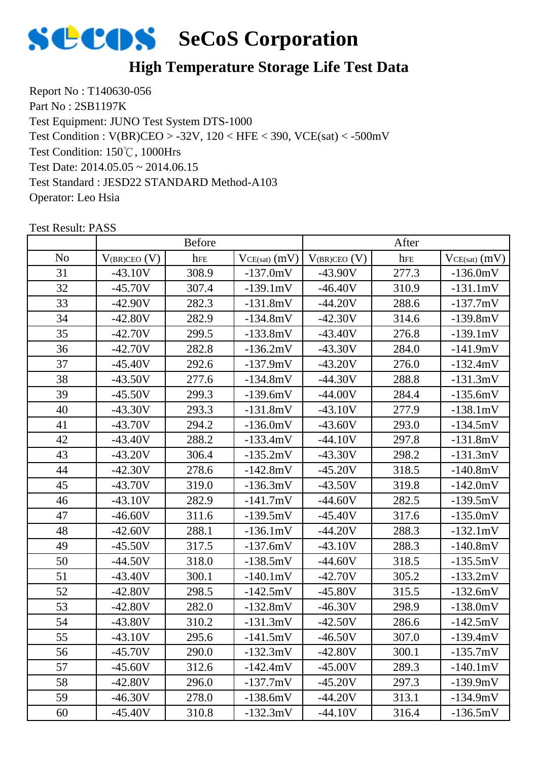

## **High Temperature Storage Life Test Data**

Report No : T140630-056 Part No : 2SB1197K Test Equipment: JUNO Test System DTS-1000 Test Condition: 150℃, 1000Hrs Test Date: 2014.05.05 ~ 2014.06.15 Test Standard : JESD22 STANDARD Method-A103 Operator: Leo Hsia Test Condition : V(BR)CEO > -32V, 120 < HFE < 390, VCE(sat) < -500mV

|                | <b>Before</b>       |       | After           |                   |       |                   |
|----------------|---------------------|-------|-----------------|-------------------|-------|-------------------|
| N <sub>o</sub> | $V_{(BR)CEO}$ $(V)$ | hFE   | $VCE(sat)$ (mV) | $V_{(BR)CEO} (V)$ | hFE   | $VCE(sat)$ $(mV)$ |
| 31             | $-43.10V$           | 308.9 | $-137.0mV$      | $-43.90V$         | 277.3 | $-136.0mV$        |
| 32             | $-45.70V$           | 307.4 | $-139.1mV$      | $-46.40V$         | 310.9 | $-131.1mV$        |
| 33             | $-42.90V$           | 282.3 | $-131.8mV$      | $-44.20V$         | 288.6 | $-137.7mV$        |
| 34             | $-42.80V$           | 282.9 | $-134.8mV$      | $-42.30V$         | 314.6 | $-139.8mV$        |
| 35             | $-42.70V$           | 299.5 | $-133.8mV$      | $-43.40V$         | 276.8 | $-139.1mV$        |
| 36             | $-42.70V$           | 282.8 | $-136.2mV$      | $-43.30V$         | 284.0 | $-141.9mV$        |
| 37             | $-45.40V$           | 292.6 | $-137.9mV$      | $-43.20V$         | 276.0 | $-132.4mV$        |
| 38             | $-43.50V$           | 277.6 | $-134.8mV$      | $-44.30V$         | 288.8 | $-131.3mV$        |
| 39             | $-45.50V$           | 299.3 | $-139.6mV$      | $-44.00V$         | 284.4 | $-135.6mV$        |
| 40             | $-43.30V$           | 293.3 | $-131.8mV$      | $-43.10V$         | 277.9 | $-138.1mV$        |
| 41             | $-43.70V$           | 294.2 | $-136.0mV$      | $-43.60V$         | 293.0 | $-134.5mV$        |
| 42             | $-43.40V$           | 288.2 | $-133.4mV$      | $-44.10V$         | 297.8 | $-131.8mV$        |
| 43             | $-43.20V$           | 306.4 | $-135.2mV$      | $-43.30V$         | 298.2 | $-131.3mV$        |
| 44             | $-42.30V$           | 278.6 | $-142.8mV$      | $-45.20V$         | 318.5 | $-140.8mV$        |
| 45             | $-43.70V$           | 319.0 | $-136.3mV$      | $-43.50V$         | 319.8 | $-142.0mV$        |
| 46             | $-43.10V$           | 282.9 | $-141.7mV$      | $-44.60V$         | 282.5 | $-139.5mV$        |
| 47             | $-46.60V$           | 311.6 | $-139.5mV$      | $-45.40V$         | 317.6 | $-135.0mV$        |
| 48             | $-42.60V$           | 288.1 | $-136.1mV$      | $-44.20V$         | 288.3 | $-132.1mV$        |
| 49             | $-45.50V$           | 317.5 | $-137.6mV$      | $-43.10V$         | 288.3 | $-140.8mV$        |
| 50             | $-44.50V$           | 318.0 | $-138.5mV$      | $-44.60V$         | 318.5 | $-135.5mV$        |
| 51             | $-43.40V$           | 300.1 | $-140.1mV$      | $-42.70V$         | 305.2 | $-133.2mV$        |
| 52             | $-42.80V$           | 298.5 | $-142.5mV$      | $-45.80V$         | 315.5 | $-132.6mV$        |
| 53             | $-42.80V$           | 282.0 | $-132.8mV$      | $-46.30V$         | 298.9 | $-138.0mV$        |
| 54             | $-43.80V$           | 310.2 | $-131.3mV$      | $-42.50V$         | 286.6 | $-142.5mV$        |
| 55             | $-43.10V$           | 295.6 | -141.5mV        | $-46.50V$         | 307.0 | $-139.4mV$        |
| 56             | $-45.70V$           | 290.0 | $-132.3mV$      | $-42.80V$         | 300.1 | $-135.7mV$        |
| 57             | $-45.60V$           | 312.6 | $-142.4mV$      | $-45.00V$         | 289.3 | $-140.1mV$        |
| 58             | $-42.80V$           | 296.0 | $-137.7mV$      | $-45.20V$         | 297.3 | $-139.9mV$        |
| 59             | $-46.30V$           | 278.0 | $-138.6mV$      | $-44.20V$         | 313.1 | $-134.9mV$        |
| 60             | $-45.40V$           | 310.8 | $-132.3mV$      | $-44.10V$         | 316.4 | $-136.5mV$        |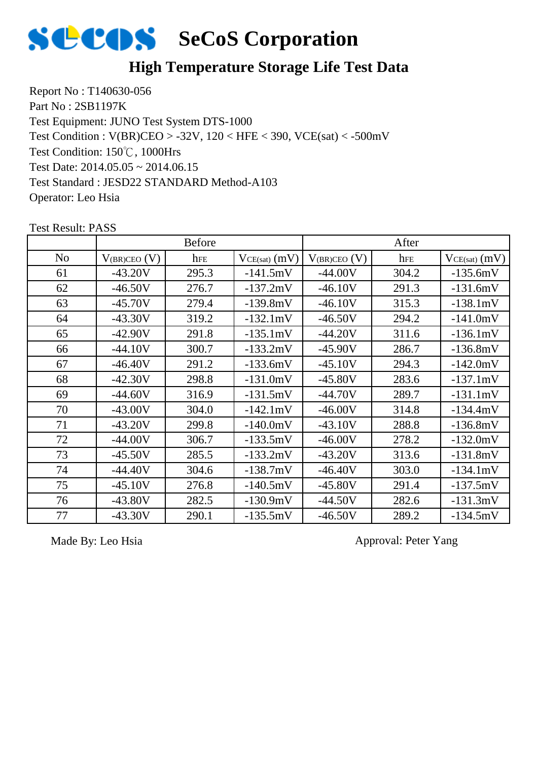

## **High Temperature Storage Life Test Data**

Report No : T140630-056 Part No : 2SB1197K Test Equipment: JUNO Test System DTS-1000 Test Condition: 150℃, 1000Hrs Test Date: 2014.05.05 ~ 2014.06.15 Test Standard : JESD22 STANDARD Method-A103 Operator: Leo Hsia Test Condition : V(BR)CEO > -32V, 120 < HFE < 390, VCE(sat) < -500mV

|                |                   | <b>Before</b> |                   |                   | After |                   |
|----------------|-------------------|---------------|-------------------|-------------------|-------|-------------------|
| N <sub>o</sub> | $V_{(BR)CEO} (V)$ | hFE           | $VCE(sat)$ $(mV)$ | $V_{(BR)CEO} (V)$ | hFE   | $VCE(sat)$ $(mV)$ |
| 61             | $-43.20V$         | 295.3         | $-141.5mV$        | $-44.00V$         | 304.2 | $-135.6mV$        |
| 62             | $-46.50V$         | 276.7         | $-137.2mV$        | $-46.10V$         | 291.3 | $-131.6mV$        |
| 63             | $-45.70V$         | 279.4         | $-139.8mV$        | $-46.10V$         | 315.3 | $-138.1mV$        |
| 64             | $-43.30V$         | 319.2         | $-132.1mV$        | $-46.50V$         | 294.2 | $-141.0mV$        |
| 65             | $-42.90V$         | 291.8         | $-135.1mV$        | $-44.20V$         | 311.6 | $-136.1mV$        |
| 66             | $-44.10V$         | 300.7         | $-133.2mV$        | $-45.90V$         | 286.7 | $-136.8mV$        |
| 67             | $-46.40V$         | 291.2         | $-133.6mV$        | $-45.10V$         | 294.3 | $-142.0mV$        |
| 68             | $-42.30V$         | 298.8         | $-131.0mV$        | $-45.80V$         | 283.6 | $-137.1mV$        |
| 69             | $-44.60V$         | 316.9         | $-131.5mV$        | $-44.70V$         | 289.7 | $-131.1mV$        |
| 70             | $-43.00V$         | 304.0         | $-142.1mV$        | $-46.00V$         | 314.8 | $-134.4mV$        |
| 71             | $-43.20V$         | 299.8         | $-140.0mV$        | $-43.10V$         | 288.8 | $-136.8mV$        |
| 72             | $-44.00V$         | 306.7         | $-133.5mV$        | $-46.00V$         | 278.2 | $-132.0mV$        |
| 73             | $-45.50V$         | 285.5         | $-133.2mV$        | $-43.20V$         | 313.6 | $-131.8mV$        |
| 74             | $-44.40V$         | 304.6         | $-138.7mV$        | $-46.40V$         | 303.0 | $-134.1mV$        |
| 75             | $-45.10V$         | 276.8         | $-140.5mV$        | $-45.80V$         | 291.4 | $-137.5mV$        |
| 76             | $-43.80V$         | 282.5         | $-130.9mV$        | $-44.50V$         | 282.6 | $-131.3mV$        |
| 77             | $-43.30V$         | 290.1         | $-135.5mV$        | $-46.50V$         | 289.2 | $-134.5mV$        |

Test Result: PASS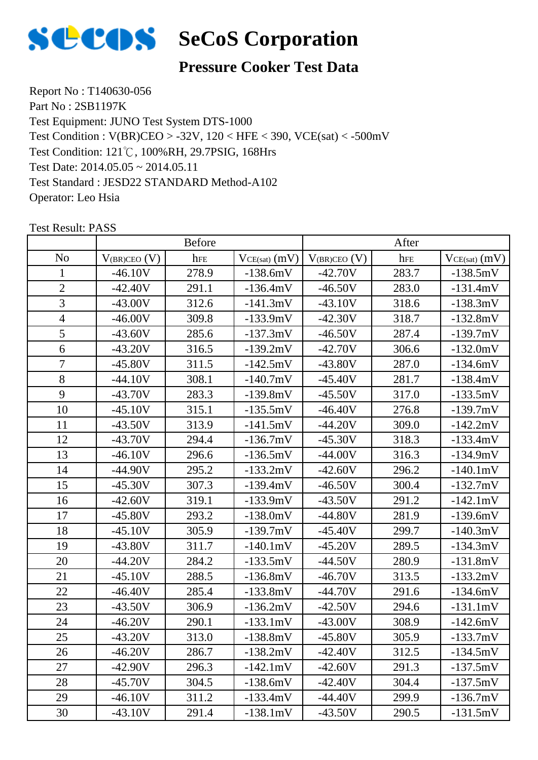

## **Pressure Cooker Test Data**

Report No : T140630-056 Part No : 2SB1197K Test Equipment: JUNO Test System DTS-1000 Test Condition: 121℃, 100%RH, 29.7PSIG, 168Hrs Test Date: 2014.05.05 ~ 2014.05.11 Test Standard : JESD22 STANDARD Method-A102 Operator: Leo Hsia Test Condition : V(BR)CEO > -32V, 120 < HFE < 390, VCE(sat) < -500mV

|                |                   | <b>Before</b> |                   |                     | After |                   |
|----------------|-------------------|---------------|-------------------|---------------------|-------|-------------------|
| N <sub>o</sub> | $V_{(BR)CEO} (V)$ | hFE           | $VCE(sat)$ $(mV)$ | $V_{(BR)CEO}$ $(V)$ | hFE   | $VCE(sat)$ $(mV)$ |
| $\mathbf{1}$   | $-46.10V$         | 278.9         | $-138.6mV$        | $-42.70V$           | 283.7 | $-138.5mV$        |
| $\overline{2}$ | $-42.40V$         | 291.1         | $-136.4mV$        | $-46.50V$           | 283.0 | $-131.4mV$        |
| 3              | $-43.00V$         | 312.6         | $-141.3mV$        | $-43.10V$           | 318.6 | $-138.3mV$        |
| $\overline{4}$ | $-46.00V$         | 309.8         | $-133.9mV$        | $-42.30V$           | 318.7 | $-132.8mV$        |
| 5              | $-43.60V$         | 285.6         | $-137.3mV$        | $-46.50V$           | 287.4 | $-139.7mV$        |
| 6              | $-43.20V$         | 316.5         | $-139.2mV$        | $-42.70V$           | 306.6 | $-132.0mV$        |
| $\overline{7}$ | $-45.80V$         | 311.5         | $-142.5mV$        | $-43.80V$           | 287.0 | $-134.6mV$        |
| 8              | $-44.10V$         | 308.1         | $-140.7mV$        | $-45.40V$           | 281.7 | $-138.4mV$        |
| 9              | $-43.70V$         | 283.3         | $-139.8mV$        | $-45.50V$           | 317.0 | $-133.5mV$        |
| 10             | $-45.10V$         | 315.1         | $-135.5mV$        | $-46.40V$           | 276.8 | $-139.7mV$        |
| 11             | $-43.50V$         | 313.9         | $-141.5mV$        | $-44.20V$           | 309.0 | $-142.2mV$        |
| 12             | $-43.70V$         | 294.4         | $-136.7mV$        | $-45.30V$           | 318.3 | $-133.4mV$        |
| 13             | $-46.10V$         | 296.6         | $-136.5mV$        | $-44.00V$           | 316.3 | $-134.9mV$        |
| 14             | -44.90V           | 295.2         | $-133.2mV$        | $-42.60V$           | 296.2 | $-140.1mV$        |
| 15             | $-45.30V$         | 307.3         | $-139.4mV$        | $-46.50V$           | 300.4 | $-132.7mV$        |
| 16             | $-42.60V$         | 319.1         | $-133.9mV$        | $-43.50V$           | 291.2 | $-142.1mV$        |
| 17             | $-45.80V$         | 293.2         | $-138.0mV$        | $-44.80V$           | 281.9 | $-139.6mV$        |
| 18             | $-45.10V$         | 305.9         | $-139.7mV$        | $-45.40V$           | 299.7 | $-140.3mV$        |
| 19             | $-43.80V$         | 311.7         | $-140.1mV$        | $-45.20V$           | 289.5 | $-134.3mV$        |
| 20             | $-44.20V$         | 284.2         | $-133.5mV$        | $-44.50V$           | 280.9 | $-131.8mV$        |
| 21             | $-45.10V$         | 288.5         | $-136.8mV$        | $-46.70V$           | 313.5 | $-133.2mV$        |
| 22             | $-46.40V$         | 285.4         | $-133.8mV$        | $-44.70V$           | 291.6 | $-134.6mV$        |
| 23             | $-43.50V$         | 306.9         | $-136.2mV$        | $-42.50V$           | 294.6 | $-131.1mV$        |
| 24             | $-46.20V$         | 290.1         | $-133.1mV$        | $-43.00V$           | 308.9 | $-142.6mV$        |
| 25             | $-43.20V$         | 313.0         | -138.8mV          | $-45.80V$           | 305.9 | $-133.7mV$        |
| 26             | $-46.20V$         | 286.7         | $-138.2mV$        | $-42.40V$           | 312.5 | $-134.5mV$        |
| 27             | $-42.90V$         | 296.3         | $-142.1mV$        | $-42.60V$           | 291.3 | $-137.5mV$        |
| 28             | $-45.70V$         | 304.5         | $-138.6mV$        | $-42.40V$           | 304.4 | $-137.5mV$        |
| 29             | $-46.10V$         | 311.2         | $-133.4mV$        | $-44.40V$           | 299.9 | $-136.7mV$        |
| 30             | $-43.10V$         | 291.4         | $-138.1mV$        | $-43.50V$           | 290.5 | $-131.5mV$        |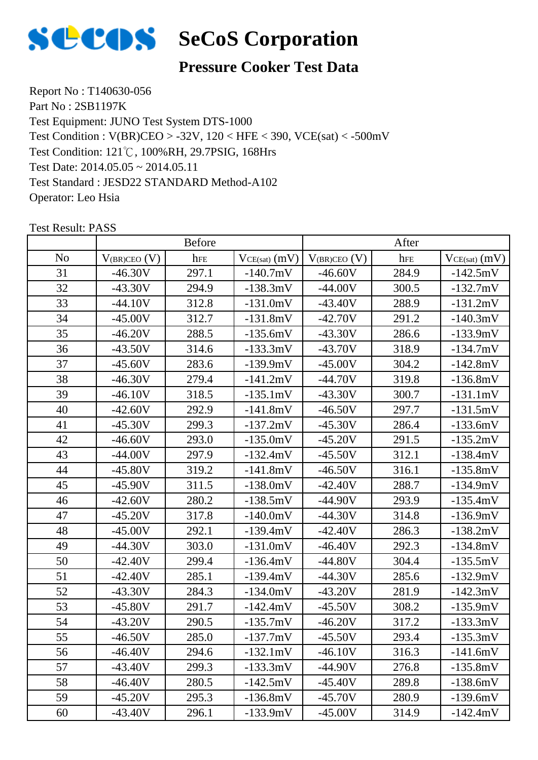

## **Pressure Cooker Test Data**

Report No : T140630-056 Part No : 2SB1197K Test Equipment: JUNO Test System DTS-1000 Test Condition: 121℃, 100%RH, 29.7PSIG, 168Hrs Test Date: 2014.05.05 ~ 2014.05.11 Test Standard : JESD22 STANDARD Method-A102 Operator: Leo Hsia Test Condition : V(BR)CEO > -32V, 120 < HFE < 390, VCE(sat) < -500mV

|                |                   | <b>Before</b> |                   |                     | After |                   |
|----------------|-------------------|---------------|-------------------|---------------------|-------|-------------------|
| N <sub>o</sub> | $V_{(BR)CEO} (V)$ | hFE           | $VCE(sat)$ $(mV)$ | $V_{(BR)CEO}$ $(V)$ | hFE   | $VCE(sat)$ $(mV)$ |
| 31             | $-46.30V$         | 297.1         | $-140.7mV$        | $-46.60V$           | 284.9 | $-142.5mV$        |
| 32             | $-43.30V$         | 294.9         | $-138.3mV$        | $-44.00V$           | 300.5 | $-132.7mV$        |
| 33             | $-44.10V$         | 312.8         | $-131.0mV$        | $-43.40V$           | 288.9 | $-131.2mV$        |
| 34             | $-45.00V$         | 312.7         | $-131.8mV$        | $-42.70V$           | 291.2 | $-140.3mV$        |
| 35             | $-46.20V$         | 288.5         | $-135.6mV$        | $-43.30V$           | 286.6 | $-133.9mV$        |
| 36             | $-43.50V$         | 314.6         | $-133.3mV$        | $-43.70V$           | 318.9 | $-134.7mV$        |
| 37             | $-45.60V$         | 283.6         | $-139.9mV$        | $-45.00V$           | 304.2 | $-142.8mV$        |
| 38             | $-46.30V$         | 279.4         | $-141.2mV$        | $-44.70V$           | 319.8 | $-136.8mV$        |
| 39             | $-46.10V$         | 318.5         | $-135.1mV$        | $-43.30V$           | 300.7 | $-131.1mV$        |
| 40             | $-42.60V$         | 292.9         | $-141.8mV$        | $-46.50V$           | 297.7 | $-131.5mV$        |
| 41             | $-45.30V$         | 299.3         | $-137.2mV$        | $-45.30V$           | 286.4 | $-133.6mV$        |
| 42             | $-46.60V$         | 293.0         | $-135.0mV$        | $-45.20V$           | 291.5 | $-135.2mV$        |
| 43             | $-44.00V$         | 297.9         | $-132.4mV$        | $-45.50V$           | 312.1 | $-138.4mV$        |
| 44             | $-45.80V$         | 319.2         | $-141.8mV$        | $-46.50V$           | 316.1 | $-135.8mV$        |
| 45             | $-45.90V$         | 311.5         | $-138.0mV$        | $-42.40V$           | 288.7 | $-134.9mV$        |
| 46             | $-42.60V$         | 280.2         | $-138.5mV$        | $-44.90V$           | 293.9 | $-135.4mV$        |
| 47             | $-45.20V$         | 317.8         | $-140.0mV$        | $-44.30V$           | 314.8 | $-136.9mV$        |
| 48             | $-45.00V$         | 292.1         | $-139.4mV$        | $-42.40V$           | 286.3 | $-138.2mV$        |
| 49             | $-44.30V$         | 303.0         | $-131.0mV$        | $-46.40V$           | 292.3 | $-134.8mV$        |
| 50             | $-42.40V$         | 299.4         | $-136.4mV$        | $-44.80V$           | 304.4 | $-135.5mV$        |
| 51             | $-42.40V$         | 285.1         | $-139.4mV$        | $-44.30V$           | 285.6 | $-132.9mV$        |
| 52             | $-43.30V$         | 284.3         | $-134.0mV$        | $-43.20V$           | 281.9 | $-142.3mV$        |
| 53             | $-45.80V$         | 291.7         | $-142.4mV$        | $-45.50V$           | 308.2 | $-135.9mV$        |
| 54             | $-43.20V$         | 290.5         | $-135.7mV$        | $-46.20V$           | 317.2 | $-133.3mV$        |
| 55             | $-46.50V$         | 285.0         | $-137.7mV$        | $-45.50V$           | 293.4 | $-135.3mV$        |
| 56             | $-46.40V$         | 294.6         | $-132.1mV$        | $-46.10V$           | 316.3 | $-141.6mV$        |
| 57             | $-43.40V$         | 299.3         | $-133.3mV$        | $-44.90V$           | 276.8 | $-135.8mV$        |
| 58             | $-46.40V$         | 280.5         | $-142.5mV$        | $-45.40V$           | 289.8 | $-138.6mV$        |
| 59             | $-45.20V$         | 295.3         | $-136.8mV$        | $-45.70V$           | 280.9 | $-139.6mV$        |
| 60             | $-43.40V$         | 296.1         | $-133.9mV$        | $-45.00V$           | 314.9 | $-142.4mV$        |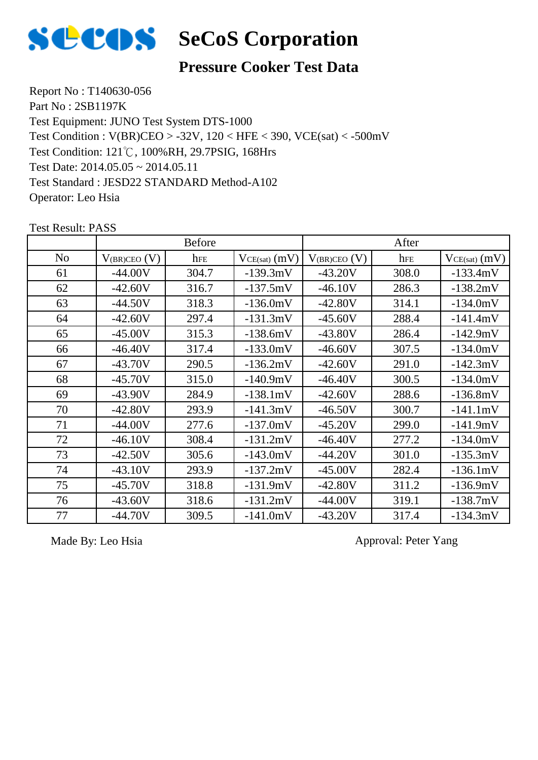

## **Pressure Cooker Test Data**

Report No : T140630-056 Part No : 2SB1197K Test Equipment: JUNO Test System DTS-1000 Test Condition: 121℃, 100%RH, 29.7PSIG, 168Hrs Test Date: 2014.05.05 ~ 2014.05.11 Test Standard : JESD22 STANDARD Method-A102 Operator: Leo Hsia Test Condition : V(BR)CEO > -32V, 120 < HFE < 390, VCE(sat) < -500mV

 $\begin{array}{c|c|c|c|c} \hline \text{No} & \text{V}_{\text{(BR)CEO (V)}} & \text{here} & \text{V}_{\text{CE(sat)} (mV)} & \text{V}_{\text{(BR)CEO (V)}} & \text{here} & \text{V}_{\text{CE(sat)} (mV)} \hline \end{array}$ Before After 61 | -44.00V | 304.7 | -139.3mV | -43.20V | 308.0 | -133.4mV 62 | -42.60V | 316.7 | -137.5mV | -46.10V | 286.3 | -138.2mV 63 | -44.50V | 318.3 | -136.0mV | -42.80V | 314.1 | -134.0mV 64 | -42.60V | 297.4 | -131.3mV | -45.60V | 288.4 | -141.4mV 65 | -45.00V | 315.3 | -138.6mV | -43.80V | 286.4 | -142.9mV 66 | -46.40V | 317.4 | -133.0mV | -46.60V | 307.5 | -134.0mV 67 | -43.70V | 290.5 | -136.2mV | -42.60V | 291.0 | -142.3mV 68 | -45.70V | 315.0 | -140.9mV | -46.40V | 300.5 | -134.0mV 69 | -43.90V | 284.9 | -138.1mV | -42.60V | 288.6 | -136.8mV 70 | -42.80V | 293.9 | -141.3mV | -46.50V | 300.7 | -141.1mV 71 | -44.00V | 277.6 | -137.0mV | -45.20V | 299.0 | -141.9mV 72 | -46.10V | 308.4 | -131.2mV | -46.40V | 277.2 | -134.0mV 73 | -42.50V | 305.6 | -143.0mV | -44.20V | 301.0 | -135.3mV 74 | -43.10V | 293.9 | -137.2mV | -45.00V | 282.4 | -136.1mV 75 | -45.70V | 318.8 | -131.9mV | -42.80V | 311.2 | -136.9mV 76 | -43.60V | 318.6 | -131.2mV | -44.00V | 319.1 | -138.7mV 77 | -44.70V | 309.5 | -141.0mV | -43.20V | 317.4 | -134.3mV

Test Result: PASS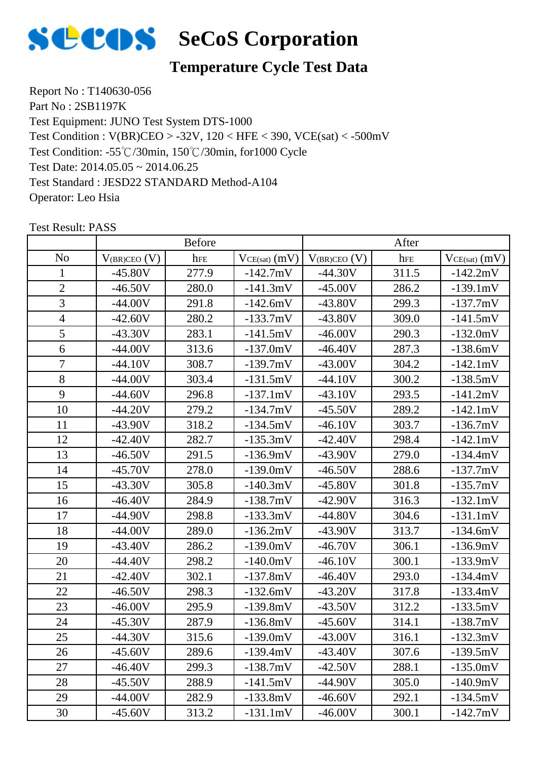

## **Temperature Cycle Test Data**

Report No : T140630-056 Part No : 2SB1197K Test Equipment: JUNO Test System DTS-1000 Test Condition: -55℃/30min, 150℃/30min, for1000 Cycle Test Date: 2014.05.05 ~ 2014.06.25 Test Standard : JESD22 STANDARD Method-A104 Operator: Leo Hsia Test Condition : V(BR)CEO > -32V, 120 < HFE < 390, VCE(sat) < -500mV

|                |                   | <b>Before</b> |                   | After               |       |                   |
|----------------|-------------------|---------------|-------------------|---------------------|-------|-------------------|
| N <sub>o</sub> | $V_{(BR)CEO} (V)$ | hFE           | $VCE(sat)$ $(mV)$ | $V_{(BR)CEO}$ $(V)$ | hFE   | $VCE(sat)$ $(mV)$ |
| $\mathbf{1}$   | $-45.80V$         | 277.9         | $-142.7mV$        | $-44.30V$           | 311.5 | $-142.2mV$        |
| $\overline{2}$ | $-46.50V$         | 280.0         | $-141.3mV$        | $-45.00V$           | 286.2 | $-139.1mV$        |
| 3              | $-44.00V$         | 291.8         | $-142.6mV$        | $-43.80V$           | 299.3 | $-137.7mV$        |
| $\overline{4}$ | $-42.60V$         | 280.2         | $-133.7mV$        | $-43.80V$           | 309.0 | $-141.5mV$        |
| 5              | $-43.30V$         | 283.1         | $-141.5mV$        | $-46.00V$           | 290.3 | $-132.0mV$        |
| 6              | $-44.00V$         | 313.6         | $-137.0mV$        | $-46.40V$           | 287.3 | $-138.6mV$        |
| $\overline{7}$ | $-44.10V$         | 308.7         | $-139.7mV$        | $-43.00V$           | 304.2 | $-142.1mV$        |
| 8              | $-44.00V$         | 303.4         | $-131.5mV$        | $-44.10V$           | 300.2 | $-138.5mV$        |
| 9              | $-44.60V$         | 296.8         | $-137.1mV$        | $-43.10V$           | 293.5 | $-141.2mV$        |
| 10             | $-44.20V$         | 279.2         | $-134.7mV$        | $-45.50V$           | 289.2 | $-142.1mV$        |
| 11             | $-43.90V$         | 318.2         | $-134.5mV$        | $-46.10V$           | 303.7 | $-136.7mV$        |
| 12             | $-42.40V$         | 282.7         | $-135.3mV$        | $-42.40V$           | 298.4 | $-142.1mV$        |
| 13             | $-46.50V$         | 291.5         | $-136.9mV$        | $-43.90V$           | 279.0 | $-134.4mV$        |
| 14             | $-45.70V$         | 278.0         | $-139.0mV$        | $-46.50V$           | 288.6 | $-137.7mV$        |
| 15             | $-43.30V$         | 305.8         | $-140.3mV$        | $-45.80V$           | 301.8 | $-135.7mV$        |
| 16             | $-46.40V$         | 284.9         | $-138.7mV$        | $-42.90V$           | 316.3 | $-132.1mV$        |
| 17             | $-44.90V$         | 298.8         | $-133.3mV$        | $-44.80V$           | 304.6 | $-131.1mV$        |
| 18             | $-44.00V$         | 289.0         | $-136.2mV$        | $-43.90V$           | 313.7 | $-134.6mV$        |
| 19             | $-43.40V$         | 286.2         | $-139.0mV$        | $-46.70V$           | 306.1 | $-136.9mV$        |
| 20             | $-44.40V$         | 298.2         | $-140.0mV$        | $-46.10V$           | 300.1 | $-133.9mV$        |
| 21             | $-42.40V$         | 302.1         | $-137.8mV$        | $-46.40V$           | 293.0 | $-134.4mV$        |
| 22             | $-46.50V$         | 298.3         | $-132.6mV$        | $-43.20V$           | 317.8 | $-133.4mV$        |
| 23             | $-46.00V$         | 295.9         | $-139.8mV$        | $-43.50V$           | 312.2 | $-133.5mV$        |
| 24             | $-45.30V$         | 287.9         | $-136.8mV$        | $-45.60V$           | 314.1 | $-138.7mV$        |
| 25             | $-44.30V$         | 315.6         | $-139.0mV$        | $-43.00V$           | 316.1 | $-132.3mV$        |
| 26             | $-45.60V$         | 289.6         | $-139.4mV$        | $-43.40V$           | 307.6 | $-139.5mV$        |
| 27             | $-46.40V$         | 299.3         | $-138.7mV$        | $-42.50V$           | 288.1 | $-135.0mV$        |
| 28             | $-45.50V$         | 288.9         | $-141.5mV$        | $-44.90V$           | 305.0 | $-140.9mV$        |
| 29             | $-44.00V$         | 282.9         | $-133.8mV$        | $-46.60V$           | 292.1 | $-134.5mV$        |
| 30             | $-45.60V$         | 313.2         | $-131.1mV$        | $-46.00V$           | 300.1 | $-142.7mV$        |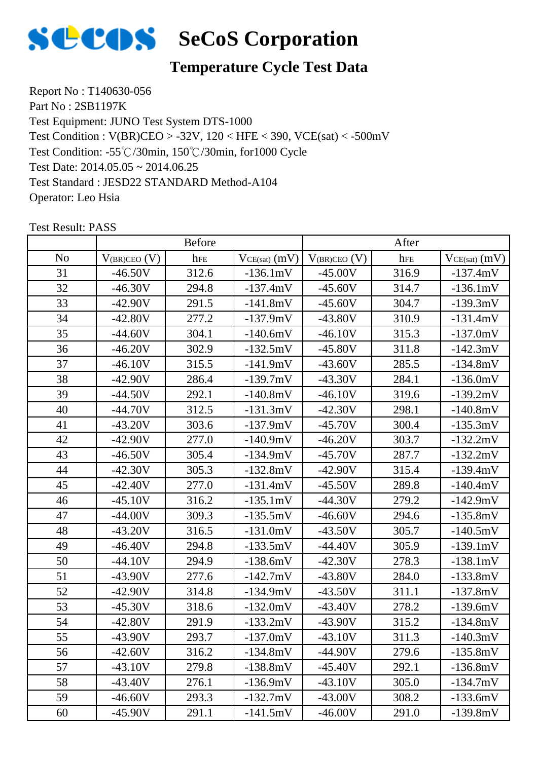

## **Temperature Cycle Test Data**

Report No : T140630-056 Part No : 2SB1197K Test Equipment: JUNO Test System DTS-1000 Test Condition: -55℃/30min, 150℃/30min, for1000 Cycle Test Date: 2014.05.05 ~ 2014.06.25 Test Standard : JESD22 STANDARD Method-A104 Operator: Leo Hsia Test Condition : V(BR)CEO > -32V, 120 < HFE < 390, VCE(sat) < -500mV

|                |                   | <b>Before</b> |                   | After             |       |                   |
|----------------|-------------------|---------------|-------------------|-------------------|-------|-------------------|
| N <sub>o</sub> | $V_{(BR)CEO} (V)$ | hFE           | $VCE(sat)$ $(mV)$ | $V_{(BR)CEO} (V)$ | hFE   | $VCE(sat)$ $(mV)$ |
| 31             | $-46.50V$         | 312.6         | $-136.1mV$        | $-45.00V$         | 316.9 | $-137.4mV$        |
| 32             | $-46.30V$         | 294.8         | $-137.4mV$        | $-45.60V$         | 314.7 | $-136.1mV$        |
| 33             | $-42.90V$         | 291.5         | $-141.8mV$        | $-45.60V$         | 304.7 | $-139.3mV$        |
| 34             | $-42.80V$         | 277.2         | $-137.9mV$        | $-43.80V$         | 310.9 | $-131.4mV$        |
| 35             | $-44.60V$         | 304.1         | $-140.6mV$        | $-46.10V$         | 315.3 | $-137.0mV$        |
| 36             | $-46.20V$         | 302.9         | $-132.5mV$        | $-45.80V$         | 311.8 | $-142.3mV$        |
| 37             | $-46.10V$         | 315.5         | $-141.9mV$        | $-43.60V$         | 285.5 | $-134.8mV$        |
| 38             | $-42.90V$         | 286.4         | $-139.7mV$        | $-43.30V$         | 284.1 | $-136.0mV$        |
| 39             | $-44.50V$         | 292.1         | $-140.8mV$        | $-46.10V$         | 319.6 | $-139.2mV$        |
| 40             | $-44.70V$         | 312.5         | $-131.3mV$        | $-42.30V$         | 298.1 | $-140.8mV$        |
| 41             | $-43.20V$         | 303.6         | $-137.9mV$        | $-45.70V$         | 300.4 | $-135.3mV$        |
| 42             | $-42.90V$         | 277.0         | $-140.9mV$        | $-46.20V$         | 303.7 | $-132.2mV$        |
| 43             | $-46.50V$         | 305.4         | $-134.9mV$        | $-45.70V$         | 287.7 | $-132.2mV$        |
| 44             | $-42.30V$         | 305.3         | $-132.8mV$        | $-42.90V$         | 315.4 | $-139.4mV$        |
| 45             | $-42.40V$         | 277.0         | $-131.4mV$        | $-45.50V$         | 289.8 | $-140.4mV$        |
| 46             | $-45.10V$         | 316.2         | $-135.1mV$        | $-44.30V$         | 279.2 | $-142.9mV$        |
| 47             | $-44.00V$         | 309.3         | $-135.5mV$        | $-46.60V$         | 294.6 | $-135.8mV$        |
| 48             | $-43.20V$         | 316.5         | $-131.0mV$        | $-43.50V$         | 305.7 | $-140.5mV$        |
| 49             | $-46.40V$         | 294.8         | $-133.5mV$        | $-44.40V$         | 305.9 | $-139.1mV$        |
| 50             | $-44.10V$         | 294.9         | $-138.6mV$        | $-42.30V$         | 278.3 | $-138.1mV$        |
| 51             | $-43.90V$         | 277.6         | $-142.7mV$        | $-43.80V$         | 284.0 | $-133.8mV$        |
| 52             | $-42.90V$         | 314.8         | $-134.9mV$        | $-43.50V$         | 311.1 | $-137.8mV$        |
| 53             | $-45.30V$         | 318.6         | $-132.0mV$        | $-43.40V$         | 278.2 | $-139.6mV$        |
| 54             | $-42.80V$         | 291.9         | $-133.2mV$        | $-43.90V$         | 315.2 | $-134.8mV$        |
| 55             | $-43.90V$         | 293.7         | $-137.0mV$        | $-43.10V$         | 311.3 | $-140.3mV$        |
| 56             | $-42.60V$         | 316.2         | $-134.8mV$        | $-44.90V$         | 279.6 | $-135.8mV$        |
| 57             | $-43.10V$         | 279.8         | $-138.8mV$        | $-45.40V$         | 292.1 | $-136.8mV$        |
| 58             | $-43.40V$         | 276.1         | $-136.9mV$        | $-43.10V$         | 305.0 | $-134.7mV$        |
| 59             | $-46.60V$         | 293.3         | $-132.7mV$        | $-43.00V$         | 308.2 | $-133.6mV$        |
| 60             | $-45.90V$         | 291.1         | $-141.5mV$        | $-46.00V$         | 291.0 | $-139.8mV$        |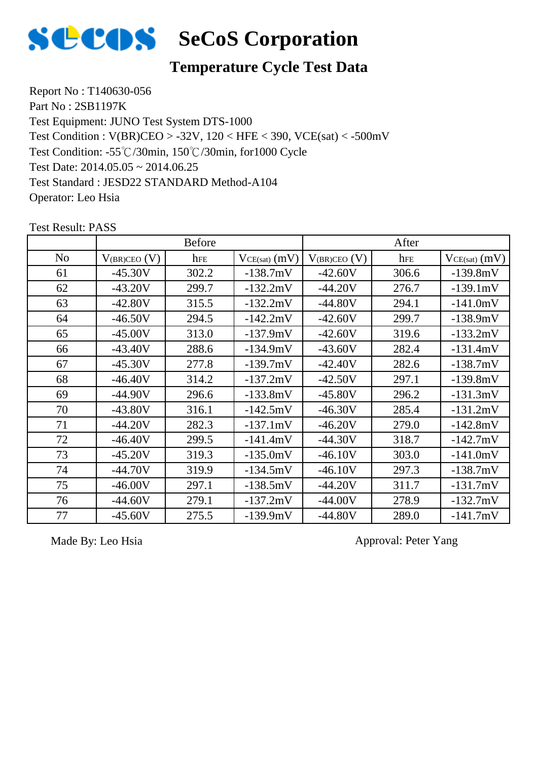

## **Temperature Cycle Test Data**

Report No : T140630-056 Part No : 2SB1197K Test Equipment: JUNO Test System DTS-1000 Test Condition: -55℃/30min, 150℃/30min, for1000 Cycle Test Date: 2014.05.05 ~ 2014.06.25 Test Standard : JESD22 STANDARD Method-A104 Operator: Leo Hsia Test Condition : V(BR)CEO > -32V, 120 < HFE < 390, VCE(sat) < -500mV

|                |                     | <b>Before</b> |                   |                   | After |                   |
|----------------|---------------------|---------------|-------------------|-------------------|-------|-------------------|
| N <sub>o</sub> | $V_{(BR)CEO}$ $(V)$ | hFE           | $VCE(sat)$ $(mV)$ | $V_{(BR)CEO} (V)$ | hFE   | $VCE(sat)$ $(mV)$ |
| 61             | $-45.30V$           | 302.2         | $-138.7mV$        | $-42.60V$         | 306.6 | $-139.8mV$        |
| 62             | $-43.20V$           | 299.7         | $-132.2mV$        | $-44.20V$         | 276.7 | $-139.1mV$        |
| 63             | $-42.80V$           | 315.5         | $-132.2mV$        | $-44.80V$         | 294.1 | $-141.0mV$        |
| 64             | $-46.50V$           | 294.5         | $-142.2mV$        | $-42.60V$         | 299.7 | $-138.9mV$        |
| 65             | $-45.00V$           | 313.0         | $-137.9mV$        | $-42.60V$         | 319.6 | $-133.2mV$        |
| 66             | $-43.40V$           | 288.6         | $-134.9mV$        | $-43.60V$         | 282.4 | $-131.4mV$        |
| 67             | $-45.30V$           | 277.8         | $-139.7mV$        | $-42.40V$         | 282.6 | $-138.7mV$        |
| 68             | $-46.40V$           | 314.2         | $-137.2mV$        | $-42.50V$         | 297.1 | $-139.8mV$        |
| 69             | $-44.90V$           | 296.6         | $-133.8mV$        | $-45.80V$         | 296.2 | $-131.3mV$        |
| 70             | $-43.80V$           | 316.1         | $-142.5mV$        | $-46.30V$         | 285.4 | $-131.2mV$        |
| 71             | $-44.20V$           | 282.3         | $-137.1mV$        | $-46.20V$         | 279.0 | $-142.8mV$        |
| 72             | $-46.40V$           | 299.5         | $-141.4mV$        | $-44.30V$         | 318.7 | $-142.7mV$        |
| 73             | $-45.20V$           | 319.3         | $-135.0mV$        | $-46.10V$         | 303.0 | $-141.0mV$        |
| 74             | $-44.70V$           | 319.9         | $-134.5mV$        | $-46.10V$         | 297.3 | $-138.7mV$        |
| 75             | $-46.00V$           | 297.1         | $-138.5mV$        | $-44.20V$         | 311.7 | $-131.7mV$        |
| 76             | $-44.60V$           | 279.1         | $-137.2mV$        | $-44.00V$         | 278.9 | $-132.7mV$        |
| 77             | $-45.60V$           | 275.5         | $-139.9mV$        | $-44.80V$         | 289.0 | $-141.7mV$        |

Test Result: PASS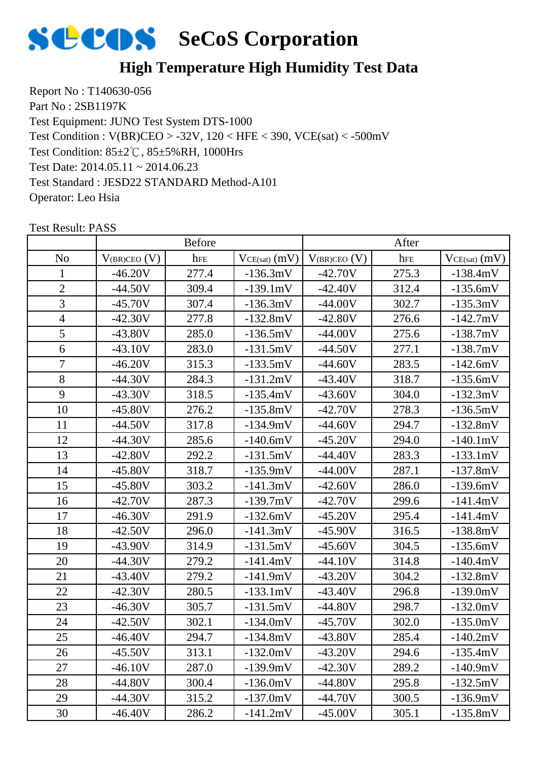

## **High Temperature High Humidity Test Data**

Report No : T140630-056 Part No : 2SB1197K Test Equipment: JUNO Test System DTS-1000 Test Condition: 85±2℃, 85±5%RH, 1000Hrs Test Date: 2014.05.11 ~ 2014.06.23 Test Standard : JESD22 STANDARD Method-A101 Operator: Leo Hsia Test Condition : V(BR)CEO > -32V, 120 < HFE < 390, VCE(sat) < -500mV

|                | <b>Before</b>     |       |                 | After               |       |                   |
|----------------|-------------------|-------|-----------------|---------------------|-------|-------------------|
| N <sub>o</sub> | $V_{(BR)CEO} (V)$ | hFE   | $VCE(sat)$ (mV) | $V_{(BR)CEO}$ $(V)$ | hFE   | $VCE(sat)$ $(mV)$ |
| 1              | $-46.20V$         | 277.4 | $-136.3mV$      | $-42.70V$           | 275.3 | $-138.4mV$        |
| $\overline{2}$ | $-44.50V$         | 309.4 | $-139.1mV$      | $-42.40V$           | 312.4 | $-135.6mV$        |
| 3              | $-45.70V$         | 307.4 | $-136.3mV$      | $-44.00V$           | 302.7 | $-135.3mV$        |
| $\overline{4}$ | $-42.30V$         | 277.8 | $-132.8mV$      | $-42.80V$           | 276.6 | $-142.7mV$        |
| 5              | $-43.80V$         | 285.0 | $-136.5mV$      | $-44.00V$           | 275.6 | $-138.7mV$        |
| 6              | $-43.10V$         | 283.0 | $-131.5mV$      | $-44.50V$           | 277.1 | $-138.7mV$        |
| $\overline{7}$ | $-46.20V$         | 315.3 | $-133.5mV$      | $-44.60V$           | 283.5 | $-142.6mV$        |
| 8              | $-44.30V$         | 284.3 | $-131.2mV$      | $-43.40V$           | 318.7 | $-135.6mV$        |
| 9              | $-43.30V$         | 318.5 | $-135.4mV$      | $-43.60V$           | 304.0 | $-132.3mV$        |
| 10             | $-45.80V$         | 276.2 | $-135.8mV$      | $-42.70V$           | 278.3 | $-136.5mV$        |
| 11             | $-44.50V$         | 317.8 | $-134.9mV$      | $-44.60V$           | 294.7 | $-132.8mV$        |
| 12             | $-44.30V$         | 285.6 | $-140.6mV$      | $-45.20V$           | 294.0 | $-140.1mV$        |
| 13             | $-42.80V$         | 292.2 | $-131.5mV$      | $-44.40V$           | 283.3 | $-133.1mV$        |
| 14             | $-45.80V$         | 318.7 | $-135.9mV$      | $-44.00V$           | 287.1 | $-137.8mV$        |
| 15             | $-45.80V$         | 303.2 | $-141.3mV$      | $-42.60V$           | 286.0 | $-139.6mV$        |
| 16             | $-42.70V$         | 287.3 | $-139.7mV$      | $-42.70V$           | 299.6 | $-141.4mV$        |
| 17             | $-46.30V$         | 291.9 | $-132.6mV$      | $-45.20V$           | 295.4 | $-141.4mV$        |
| 18             | $-42.50V$         | 296.0 | $-141.3mV$      | $-45.90V$           | 316.5 | $-138.8mV$        |
| 19             | $-43.90V$         | 314.9 | $-131.5mV$      | $-45.60V$           | 304.5 | $-135.6mV$        |
| 20             | $-44.30V$         | 279.2 | $-141.4mV$      | $-44.10V$           | 314.8 | $-140.4mV$        |
| 21             | $-43.40V$         | 279.2 | $-141.9mV$      | $-43.20V$           | 304.2 | $-132.8mV$        |
| 22             | $-42.30V$         | 280.5 | $-133.1mV$      | $-43.40V$           | 296.8 | $-139.0mV$        |
| 23             | $-46.30V$         | 305.7 | $-131.5mV$      | $-44.80V$           | 298.7 | $-132.0mV$        |
| 24             | $-42.50V$         | 302.1 | $-134.0mV$      | $-45.70V$           | 302.0 | $-135.0mV$        |
| 25             | $-46.40V$         | 294.7 | $-134.8mV$      | $-43.80V$           | 285.4 | $-140.2mV$        |
| 26             | $-45.50V$         | 313.1 | $-132.0mV$      | $-43.20V$           | 294.6 | $-135.4mV$        |
| 27             | $-46.10V$         | 287.0 | $-139.9mV$      | $-42.30V$           | 289.2 | $-140.9mV$        |
| 28             | $-44.80V$         | 300.4 | $-136.0mV$      | $-44.80V$           | 295.8 | $-132.5mV$        |
| 29             | $-44.30V$         | 315.2 | $-137.0mV$      | $-44.70V$           | 300.5 | $-136.9mV$        |
| 30             | $-46.40V$         | 286.2 | $-141.2mV$      | $-45.00V$           | 305.1 | $-135.8mV$        |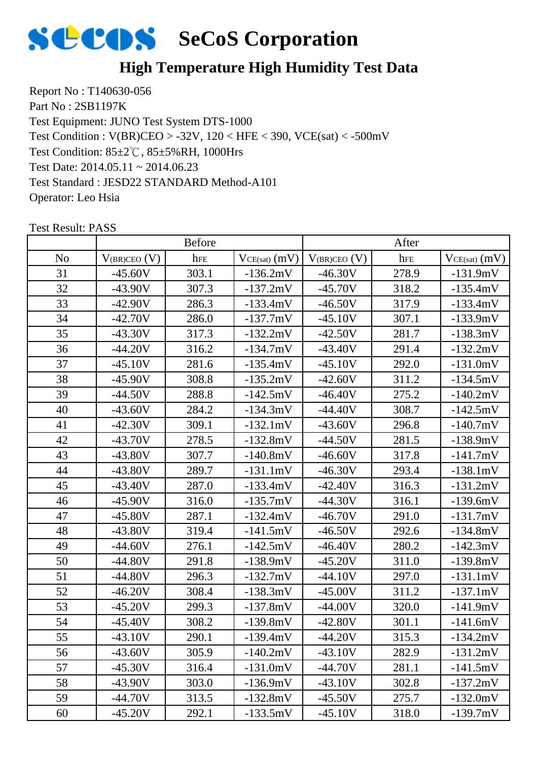

## **High Temperature High Humidity Test Data**

Report No : T140630-056 Part No : 2SB1197K Test Equipment: JUNO Test System DTS-1000 Test Condition: 85±2℃, 85±5%RH, 1000Hrs Test Date: 2014.05.11 ~ 2014.06.23 Test Standard : JESD22 STANDARD Method-A101 Operator: Leo Hsia Test Condition : V(BR)CEO > -32V, 120 < HFE < 390, VCE(sat) < -500mV

|                |                   | <b>Before</b> |                 |                   | After    |                   |
|----------------|-------------------|---------------|-----------------|-------------------|----------|-------------------|
| N <sub>0</sub> | $V_{(BR)CEO}$ (V) | hFE           | $VCE(sat)$ (mV) | $V_{(BR)CEO} (V)$ | $h_{FE}$ | $VCE(sat)$ $(mV)$ |
| 31             | $-45.60V$         | 303.1         | $-136.2mV$      | $-46.30V$         | 278.9    | $-131.9mV$        |
| 32             | $-43.90V$         | 307.3         | $-137.2mV$      | $-45.70V$         | 318.2    | $-135.4mV$        |
| 33             | $-42.90V$         | 286.3         | $-133.4mV$      | $-46.50V$         | 317.9    | $-133.4mV$        |
| 34             | $-42.70V$         | 286.0         | $-137.7mV$      | $-45.10V$         | 307.1    | $-133.9mV$        |
| 35             | $-43.30V$         | 317.3         | $-132.2mV$      | $-42.50V$         | 281.7    | $-138.3mV$        |
| 36             | $-44.20V$         | 316.2         | $-134.7mV$      | $-43.40V$         | 291.4    | $-132.2mV$        |
| 37             | $-45.10V$         | 281.6         | $-135.4mV$      | $-45.10V$         | 292.0    | $-131.0mV$        |
| 38             | $-45.90V$         | 308.8         | $-135.2mV$      | $-42.60V$         | 311.2    | $-134.5mV$        |
| 39             | $-44.50V$         | 288.8         | $-142.5mV$      | $-46.40V$         | 275.2    | $-140.2mV$        |
| 40             | $-43.60V$         | 284.2         | $-134.3mV$      | $-44.40V$         | 308.7    | $-142.5mV$        |
| 41             | $-42.30V$         | 309.1         | $-132.1mV$      | $-43.60V$         | 296.8    | $-140.7mV$        |
| 42             | $-43.70V$         | 278.5         | $-132.8mV$      | $-44.50V$         | 281.5    | $-138.9mV$        |
| 43             | $-43.80V$         | 307.7         | $-140.8mV$      | $-46.60V$         | 317.8    | $-141.7mV$        |
| 44             | $-43.80V$         | 289.7         | $-131.1mV$      | $-46.30V$         | 293.4    | $-138.1mV$        |
| 45             | $-43.40V$         | 287.0         | $-133.4mV$      | $-42.40V$         | 316.3    | $-131.2mV$        |
| 46             | $-45.90V$         | 316.0         | $-135.7mV$      | $-44.30V$         | 316.1    | $-139.6mV$        |
| 47             | $-45.80V$         | 287.1         | $-132.4mV$      | $-46.70V$         | 291.0    | $-131.7mV$        |
| 48             | $-43.80V$         | 319.4         | $-141.5mV$      | $-46.50V$         | 292.6    | $-134.8mV$        |
| 49             | $-44.60V$         | 276.1         | $-142.5mV$      | $-46.40V$         | 280.2    | $-142.3mV$        |
| 50             | $-44.80V$         | 291.8         | $-138.9mV$      | $-45.20V$         | 311.0    | $-139.8mV$        |
| 51             | $-44.80V$         | 296.3         | $-132.7mV$      | $-44.10V$         | 297.0    | $-131.1mV$        |
| 52             | $-46.20V$         | 308.4         | $-138.3mV$      | $-45.00V$         | 311.2    | $-137.1mV$        |
| 53             | $-45.20V$         | 299.3         | $-137.8mV$      | $-44.00V$         | 320.0    | $-141.9mV$        |
| 54             | $-45.40V$         | 308.2         | $-139.8mV$      | $-42.80V$         | 301.1    | $-141.6mV$        |
| 55             | $-43.10V$         | 290.1         | $-139.4mV$      | -44.20V           | 315.3    | $-134.2mV$        |
| 56             | $-43.60V$         | 305.9         | $-140.2mV$      | $-43.10V$         | 282.9    | $-131.2mV$        |
| 57             | $-45.30V$         | 316.4         | $-131.0mV$      | $-44.70V$         | 281.1    | $-141.5mV$        |
| 58             | $-43.90V$         | 303.0         | $-136.9mV$      | $-43.10V$         | 302.8    | $-137.2mV$        |
| 59             | $-44.70V$         | 313.5         | $-132.8mV$      | $-45.50V$         | 275.7    | $-132.0mV$        |
| 60             | $-45.20V$         | 292.1         | $-133.5mV$      | $-45.10V$         | 318.0    | $-139.7mV$        |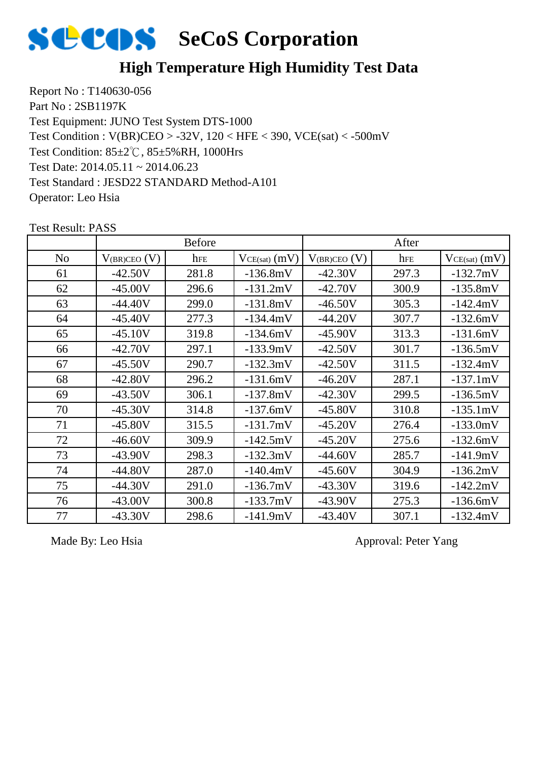

## **High Temperature High Humidity Test Data**

Report No : T140630-056 Part No : 2SB1197K Test Equipment: JUNO Test System DTS-1000 Test Condition: 85±2℃, 85±5%RH, 1000Hrs Test Date: 2014.05.11 ~ 2014.06.23 Test Standard : JESD22 STANDARD Method-A101 Operator: Leo Hsia Test Condition : V(BR)CEO > -32V, 120 < HFE < 390, VCE(sat) < -500mV

|                |                   | <b>Before</b> |                   |                   | After |                   |
|----------------|-------------------|---------------|-------------------|-------------------|-------|-------------------|
| N <sub>o</sub> | $V_{(BR)CEO} (V)$ | hFE           | $VCE(sat)$ $(mV)$ | $V_{(BR)CEO} (V)$ | hFE   | $VCE(sat)$ $(mV)$ |
| 61             | $-42.50V$         | 281.8         | $-136.8mV$        | $-42.30V$         | 297.3 | $-132.7mV$        |
| 62             | $-45.00V$         | 296.6         | $-131.2mV$        | $-42.70V$         | 300.9 | $-135.8mV$        |
| 63             | $-44.40V$         | 299.0         | $-131.8mV$        | $-46.50V$         | 305.3 | $-142.4mV$        |
| 64             | $-45.40V$         | 277.3         | $-134.4mV$        | $-44.20V$         | 307.7 | $-132.6mV$        |
| 65             | $-45.10V$         | 319.8         | $-134.6mV$        | $-45.90V$         | 313.3 | $-131.6mV$        |
| 66             | $-42.70V$         | 297.1         | $-133.9mV$        | $-42.50V$         | 301.7 | $-136.5mV$        |
| 67             | $-45.50V$         | 290.7         | $-132.3mV$        | $-42.50V$         | 311.5 | $-132.4mV$        |
| 68             | $-42.80V$         | 296.2         | $-131.6mV$        | $-46.20V$         | 287.1 | $-137.1mV$        |
| 69             | $-43.50V$         | 306.1         | $-137.8mV$        | $-42.30V$         | 299.5 | $-136.5mV$        |
| 70             | $-45.30V$         | 314.8         | $-137.6mV$        | $-45.80V$         | 310.8 | $-135.1mV$        |
| 71             | $-45.80V$         | 315.5         | $-131.7mV$        | $-45.20V$         | 276.4 | $-133.0mV$        |
| 72             | $-46.60V$         | 309.9         | $-142.5mV$        | $-45.20V$         | 275.6 | $-132.6mV$        |
| 73             | $-43.90V$         | 298.3         | $-132.3mV$        | $-44.60V$         | 285.7 | $-141.9mV$        |
| 74             | $-44.80V$         | 287.0         | $-140.4mV$        | $-45.60V$         | 304.9 | $-136.2mV$        |
| 75             | $-44.30V$         | 291.0         | $-136.7mV$        | $-43.30V$         | 319.6 | $-142.2mV$        |
| 76             | $-43.00V$         | 300.8         | $-133.7mV$        | $-43.90V$         | 275.3 | $-136.6mV$        |
| 77             | $-43.30V$         | 298.6         | $-141.9mV$        | $-43.40V$         | 307.1 | $-132.4mV$        |

Test Result: PASS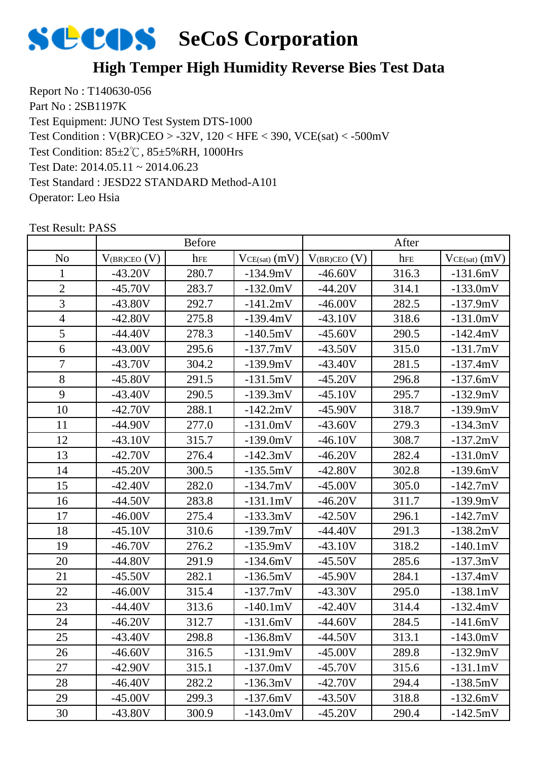

## **High Temper High Humidity Reverse Bies Test Data**

Report No : T140630-056 Part No : 2SB1197K Test Equipment: JUNO Test System DTS-1000 Test Condition: 85±2℃, 85±5%RH, 1000Hrs Test Date: 2014.05.11 ~ 2014.06.23 Test Standard : JESD22 STANDARD Method-A101 Operator: Leo Hsia Test Condition : V(BR)CEO > -32V, 120 < HFE < 390, VCE(sat) < -500mV

|                | <b>Before</b>     |       |                   | After               |       |                   |
|----------------|-------------------|-------|-------------------|---------------------|-------|-------------------|
| N <sub>o</sub> | $V_{(BR)CEO} (V)$ | hFE   | $VCE(sat)$ $(mV)$ | $V_{(BR)CEO}$ $(V)$ | hFE   | $VCE(sat)$ $(mV)$ |
| 1              | $-43.20V$         | 280.7 | $-134.9mV$        | $-46.60V$           | 316.3 | $-131.6mV$        |
| $\overline{2}$ | $-45.70V$         | 283.7 | $-132.0mV$        | $-44.20V$           | 314.1 | $-133.0mV$        |
| 3              | $-43.80V$         | 292.7 | $-141.2mV$        | $-46.00V$           | 282.5 | $-137.9mV$        |
| $\overline{4}$ | $-42.80V$         | 275.8 | $-139.4mV$        | $-43.10V$           | 318.6 | $-131.0mV$        |
| 5              | $-44.40V$         | 278.3 | $-140.5mV$        | $-45.60V$           | 290.5 | $-142.4mV$        |
| 6              | $-43.00V$         | 295.6 | $-137.7mV$        | $-43.50V$           | 315.0 | $-131.7mV$        |
| $\tau$         | $-43.70V$         | 304.2 | $-139.9mV$        | $-43.40V$           | 281.5 | $-137.4mV$        |
| 8              | $-45.80V$         | 291.5 | $-131.5mV$        | $-45.20V$           | 296.8 | $-137.6mV$        |
| 9              | $-43.40V$         | 290.5 | $-139.3mV$        | $-45.10V$           | 295.7 | $-132.9mV$        |
| 10             | $-42.70V$         | 288.1 | $-142.2mV$        | $-45.90V$           | 318.7 | $-139.9mV$        |
| 11             | $-44.90V$         | 277.0 | $-131.0mV$        | $-43.60V$           | 279.3 | $-134.3mV$        |
| 12             | $-43.10V$         | 315.7 | $-139.0mV$        | $-46.10V$           | 308.7 | $-137.2mV$        |
| 13             | $-42.70V$         | 276.4 | $-142.3mV$        | $-46.20V$           | 282.4 | $-131.0mV$        |
| 14             | $-45.20V$         | 300.5 | $-135.5mV$        | $-42.80V$           | 302.8 | $-139.6mV$        |
| 15             | $-42.40V$         | 282.0 | $-134.7mV$        | $-45.00V$           | 305.0 | $-142.7mV$        |
| 16             | $-44.50V$         | 283.8 | $-131.1mV$        | $-46.20V$           | 311.7 | $-139.9mV$        |
| 17             | $-46.00V$         | 275.4 | $-133.3mV$        | $-42.50V$           | 296.1 | $-142.7mV$        |
| 18             | $-45.10V$         | 310.6 | $-139.7mV$        | $-44.40V$           | 291.3 | $-138.2mV$        |
| 19             | $-46.70V$         | 276.2 | $-135.9mV$        | $-43.10V$           | 318.2 | $-140.1mV$        |
| 20             | $-44.80V$         | 291.9 | $-134.6mV$        | $-45.50V$           | 285.6 | $-137.3mV$        |
| 21             | $-45.50V$         | 282.1 | $-136.5mV$        | $-45.90V$           | 284.1 | $-137.4mV$        |
| 22             | $-46.00V$         | 315.4 | $-137.7mV$        | $-43.30V$           | 295.0 | $-138.1mV$        |
| 23             | $-44.40V$         | 313.6 | $-140.1mV$        | $-42.40V$           | 314.4 | $-132.4mV$        |
| 24             | $-46.20V$         | 312.7 | $-131.6mV$        | -44.60V             | 284.5 | $-141.6mV$        |
| 25             | -43.40V           | 298.8 | $-136.8mV$        | $-44.50V$           | 313.1 | $-143.0mV$        |
| 26             | $-46.60V$         | 316.5 | $-131.9mV$        | $-45.00V$           | 289.8 | $-132.9mV$        |
| 27             | $-42.90V$         | 315.1 | $-137.0mV$        | $-45.70V$           | 315.6 | $-131.1mV$        |
| 28             | $-46.40V$         | 282.2 | $-136.3mV$        | $-42.70V$           | 294.4 | $-138.5mV$        |
| 29             | $-45.00V$         | 299.3 | $-137.6mV$        | $-43.50V$           | 318.8 | $-132.6mV$        |
| 30             | $-43.80V$         | 300.9 | $-143.0mV$        | $-45.20V$           | 290.4 | $-142.5mV$        |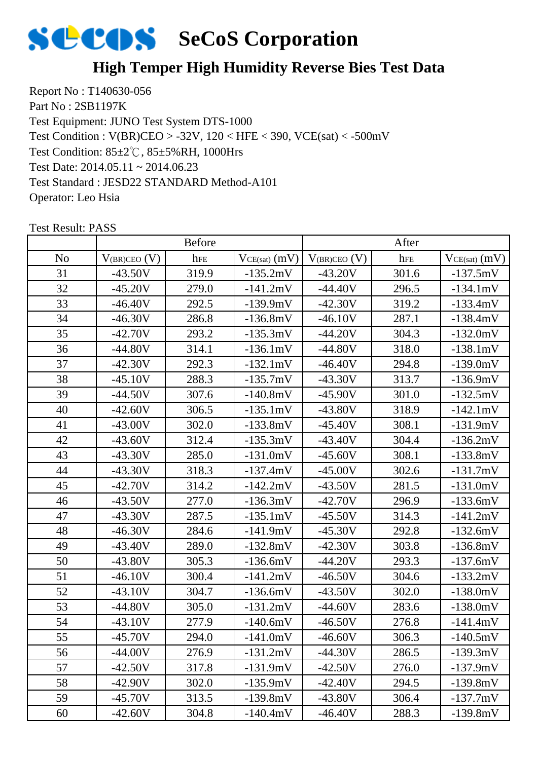

## **High Temper High Humidity Reverse Bies Test Data**

Report No : T140630-056 Part No : 2SB1197K Test Equipment: JUNO Test System DTS-1000 Test Condition: 85±2℃, 85±5%RH, 1000Hrs Test Date: 2014.05.11 ~ 2014.06.23 Test Standard : JESD22 STANDARD Method-A101 Operator: Leo Hsia Test Condition : V(BR)CEO > -32V, 120 < HFE < 390, VCE(sat) < -500mV

|                | <b>Before</b>     |       |                   | After               |       |                   |
|----------------|-------------------|-------|-------------------|---------------------|-------|-------------------|
| N <sub>o</sub> | $V_{(BR)CEO} (V)$ | hFE   | $VCE(sat)$ $(mV)$ | $V_{(BR)CEO}$ $(V)$ | hFE   | $VCE(sat)$ $(mV)$ |
| 31             | $-43.50V$         | 319.9 | $-135.2mV$        | $-43.20V$           | 301.6 | $-137.5mV$        |
| 32             | $-45.20V$         | 279.0 | $-141.2mV$        | $-44.40V$           | 296.5 | $-134.1mV$        |
| 33             | $-46.40V$         | 292.5 | $-139.9mV$        | $-42.30V$           | 319.2 | $-133.4mV$        |
| 34             | $-46.30V$         | 286.8 | $-136.8mV$        | $-46.10V$           | 287.1 | $-138.4mV$        |
| 35             | $-42.70V$         | 293.2 | $-135.3mV$        | $-44.20V$           | 304.3 | $-132.0mV$        |
| 36             | $-44.80V$         | 314.1 | $-136.1mV$        | $-44.80V$           | 318.0 | $-138.1mV$        |
| 37             | $-42.30V$         | 292.3 | $-132.1mV$        | $-46.40V$           | 294.8 | $-139.0mV$        |
| 38             | $-45.10V$         | 288.3 | $-135.7mV$        | $-43.30V$           | 313.7 | $-136.9mV$        |
| 39             | $-44.50V$         | 307.6 | $-140.8mV$        | $-45.90V$           | 301.0 | $-132.5mV$        |
| 40             | $-42.60V$         | 306.5 | $-135.1mV$        | $-43.80V$           | 318.9 | $-142.1mV$        |
| 41             | $-43.00V$         | 302.0 | $-133.8mV$        | $-45.40V$           | 308.1 | $-131.9mV$        |
| 42             | $-43.60V$         | 312.4 | $-135.3mV$        | $-43.40V$           | 304.4 | $-136.2mV$        |
| 43             | $-43.30V$         | 285.0 | $-131.0mV$        | $-45.60V$           | 308.1 | $-133.8mV$        |
| 44             | $-43.30V$         | 318.3 | $-137.4mV$        | $-45.00V$           | 302.6 | $-131.7mV$        |
| 45             | $-42.70V$         | 314.2 | $-142.2mV$        | $-43.50V$           | 281.5 | $-131.0mV$        |
| 46             | $-43.50V$         | 277.0 | $-136.3mV$        | $-42.70V$           | 296.9 | $-133.6mV$        |
| 47             | $-43.30V$         | 287.5 | $-135.1mV$        | $-45.50V$           | 314.3 | $-141.2mV$        |
| 48             | $-46.30V$         | 284.6 | $-141.9mV$        | $-45.30V$           | 292.8 | $-132.6mV$        |
| 49             | $-43.40V$         | 289.0 | $-132.8mV$        | $-42.30V$           | 303.8 | $-136.8mV$        |
| 50             | $-43.80V$         | 305.3 | $-136.6mV$        | $-44.20V$           | 293.3 | $-137.6mV$        |
| 51             | $-46.10V$         | 300.4 | $-141.2mV$        | $-46.50V$           | 304.6 | $-133.2mV$        |
| 52             | $-43.10V$         | 304.7 | $-136.6mV$        | $-43.50V$           | 302.0 | $-138.0mV$        |
| 53             | $-44.80V$         | 305.0 | $-131.2mV$        | $-44.60V$           | 283.6 | $-138.0mV$        |
| 54             | $-43.10V$         | 277.9 | $-140.6mV$        | $-46.50V$           | 276.8 | $-141.4mV$        |
| 55             | -45.70V           | 294.0 | -141.0mV          | $-46.60V$           | 306.3 | $-140.5mV$        |
| 56             | $-44.00V$         | 276.9 | $-131.2mV$        | $-44.30V$           | 286.5 | $-139.3mV$        |
| 57             | $-42.50V$         | 317.8 | $-131.9mV$        | $-42.50V$           | 276.0 | $-137.9mV$        |
| 58             | $-42.90V$         | 302.0 | $-135.9mV$        | $-42.40V$           | 294.5 | $-139.8mV$        |
| 59             | $-45.70V$         | 313.5 | $-139.8mV$        | $-43.80V$           | 306.4 | $-137.7mV$        |
| 60             | $-42.60V$         | 304.8 | $-140.4mV$        | $-46.40V$           | 288.3 | $-139.8mV$        |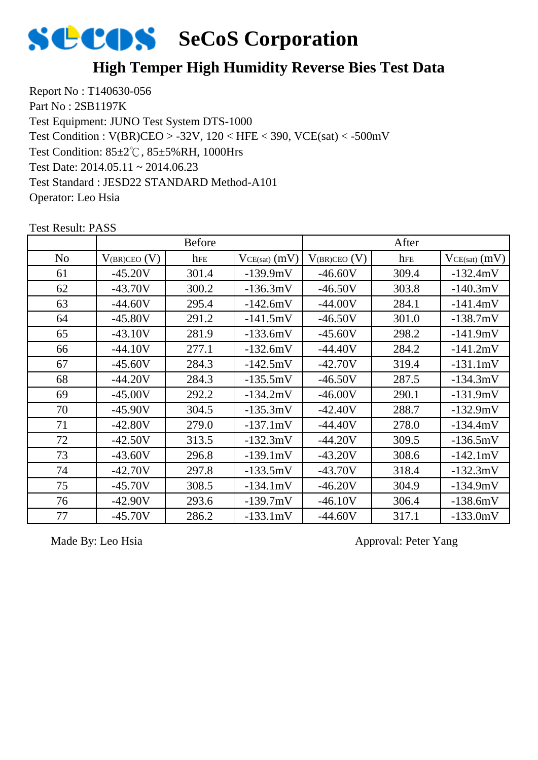

## **High Temper High Humidity Reverse Bies Test Data**

Report No : T140630-056 Part No : 2SB1197K Test Equipment: JUNO Test System DTS-1000 Test Condition: 85±2℃, 85±5%RH, 1000Hrs Test Date: 2014.05.11 ~ 2014.06.23 Test Standard : JESD22 STANDARD Method-A101 Operator: Leo Hsia Test Condition : V(BR)CEO > -32V, 120 < HFE < 390, VCE(sat) < -500mV

|    |                   | <b>Before</b> |                   |                   | After |                   |
|----|-------------------|---------------|-------------------|-------------------|-------|-------------------|
| No | $V_{(BR)CEO}$ (V) | hFE           | $VCE(sat)$ $(mV)$ | $V_{(BR)CEO} (V)$ | hFE   | $VCE(sat)$ $(mV)$ |
| 61 | $-45.20V$         | 301.4         | $-139.9mV$        | $-46.60V$         | 309.4 | $-132.4mV$        |
| 62 | $-43.70V$         | 300.2         | $-136.3mV$        | $-46.50V$         | 303.8 | $-140.3mV$        |
| 63 | $-44.60V$         | 295.4         | $-142.6mV$        | $-44.00V$         | 284.1 | $-141.4mV$        |
| 64 | $-45.80V$         | 291.2         | $-141.5mV$        | $-46.50V$         | 301.0 | $-138.7mV$        |
| 65 | $-43.10V$         | 281.9         | $-133.6mV$        | $-45.60V$         | 298.2 | $-141.9mV$        |
| 66 | $-44.10V$         | 277.1         | $-132.6mV$        | $-44.40V$         | 284.2 | $-141.2mV$        |
| 67 | $-45.60V$         | 284.3         | $-142.5mV$        | $-42.70V$         | 319.4 | $-131.1mV$        |
| 68 | $-44.20V$         | 284.3         | $-135.5mV$        | $-46.50V$         | 287.5 | $-134.3mV$        |
| 69 | $-45.00V$         | 292.2         | $-134.2mV$        | $-46.00V$         | 290.1 | $-131.9mV$        |
| 70 | $-45.90V$         | 304.5         | $-135.3mV$        | $-42.40V$         | 288.7 | $-132.9mV$        |
| 71 | $-42.80V$         | 279.0         | $-137.1mV$        | $-44.40V$         | 278.0 | $-134.4mV$        |
| 72 | $-42.50V$         | 313.5         | $-132.3mV$        | $-44.20V$         | 309.5 | $-136.5mV$        |
| 73 | $-43.60V$         | 296.8         | $-139.1mV$        | $-43.20V$         | 308.6 | $-142.1mV$        |
| 74 | $-42.70V$         | 297.8         | $-133.5mV$        | $-43.70V$         | 318.4 | $-132.3mV$        |
| 75 | $-45.70V$         | 308.5         | $-134.1mV$        | $-46.20V$         | 304.9 | $-134.9mV$        |
| 76 | $-42.90V$         | 293.6         | $-139.7mV$        | $-46.10V$         | 306.4 | $-138.6mV$        |
| 77 | $-45.70V$         | 286.2         | $-133.1mV$        | $-44.60V$         | 317.1 | $-133.0mV$        |

Test Result: PASS